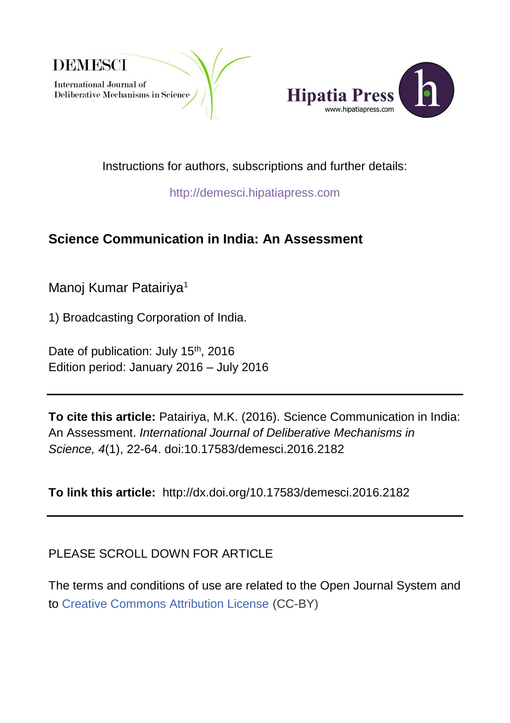



Instructions for authors, subscriptions and further details:

[http://demesci.hipatiapress.com](http://demesci.hipatiapress.com/)

# **Science Communication in India: An Assessment**

Manoj Kumar Patairiva<sup>1</sup>

1) Broadcasting Corporation of India.

Date of publication: July 15<sup>th</sup>, 2016 Edition period: January 2016 – July 2016

**To cite this article:** Patairiya, M.K. (2016). Science Communication in India: An Assessment. *International Journal of Deliberative Mechanisms in Science, 4*(1), 22-64. doi[:10.17583/demesci.2016.2182](http://dx.doi.org/10.4471/demesci.2014.12)

**To link this article:** <http://dx.doi.org/10.17583/demesci.2016.2182>

PLEASE SCROLL DOWN FOR ARTICLE

The terms and conditions of use are related to the Open Journal System and to [Creative Commons Attribution License](http://creativecommons.org/licenses/by/4.0/) (CC-BY)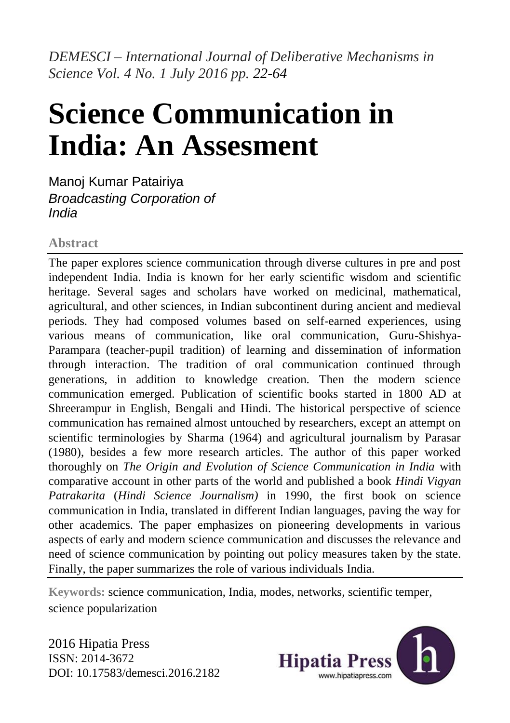*DEMESCI – International Journal of Deliberative Mechanisms in Science Vol. 4 No. 1 July 2016 pp. 22-64*

# **Science Communication in India: An Assesment**

Manoj Kumar Patairiya *Broadcasting Corporation of India*

## **Abstract**

The paper explores science communication through diverse cultures in pre and post independent India. India is known for her early scientific wisdom and scientific heritage. Several sages and scholars have worked on medicinal, mathematical, agricultural, and other sciences, in Indian subcontinent during ancient and medieval periods. They had composed volumes based on self-earned experiences, using various means of communication, like oral communication, Guru-Shishya-Parampara (teacher-pupil tradition) of learning and dissemination of information through interaction. The tradition of oral communication continued through generations, in addition to knowledge creation. Then the modern science communication emerged. Publication of scientific books started in 1800 AD at Shreerampur in English, Bengali and Hindi. The historical perspective of science communication has remained almost untouched by researchers, except an attempt on scientific terminologies by Sharma (1964) and agricultural journalism by Parasar (1980), besides a few more research articles. The author of this paper worked thoroughly on *The Origin and Evolution of Science Communication in India* with comparative account in other parts of the world and published a book *Hindi Vigyan Patrakarita* (*Hindi Science Journalism)* in 1990, the first book on science communication in India, translated in different Indian languages, paving the way for other academics. The paper emphasizes on pioneering developments in various aspects of early and modern science communication and discusses the relevance and need of science communication by pointing out policy measures taken by the state. Finally, the paper summarizes the role of various individuals India.

**Keywords:** science communication, India, modes, networks, scientific temper, science popularization

2016 Hipatia Press ISSN: 2014-3672 DOI: 10.17583/demesci.2016.2182

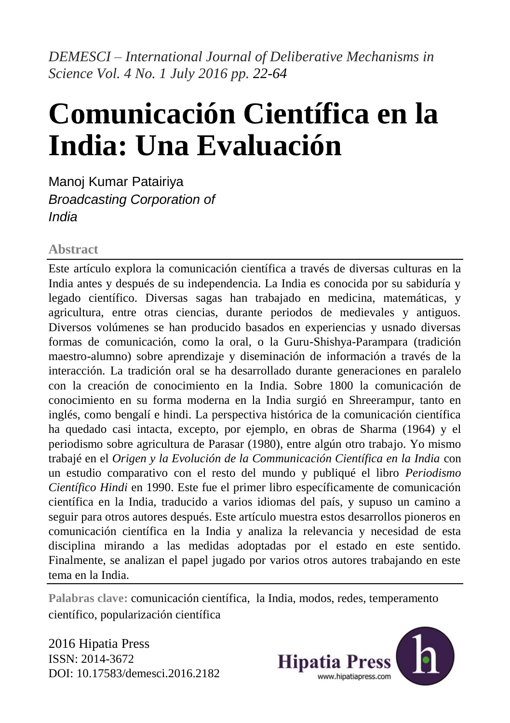*DEMESCI – International Journal of Deliberative Mechanisms in Science Vol. 4 No. 1 July 2016 pp. 22-64*

# **Comunicación Científica en la India: Una Evaluación**

Manoj Kumar Patairiya *Broadcasting Corporation of India*

# **Abstract**

Este artículo explora la comunicación científica a través de diversas culturas en la India antes y después de su independencia. La India es conocida por su sabiduría y legado científico. Diversas sagas han trabajado en medicina, matemáticas, y agricultura, entre otras ciencias, durante periodos de medievales y antiguos. Diversos volúmenes se han producido basados en experiencias y usnado diversas formas de comunicación, como la oral, o la Guru-Shishya-Parampara (tradición maestro-alumno) sobre aprendizaje y diseminación de información a través de la interacción. La tradición oral se ha desarrollado durante generaciones en paralelo con la creación de conocimiento en la India. Sobre 1800 la comunicación de conocimiento en su forma moderna en la India surgió en Shreerampur, tanto en inglés, como bengalí e hindi. La perspectiva histórica de la comunicación científica ha quedado casi intacta, excepto, por ejemplo, en obras de Sharma (1964) y el periodismo sobre agricultura de Parasar (1980), entre algún otro trabajo. Yo mismo trabajé en el *Origen y la Evolución de la Communicación Científica en la India* con un estudio comparativo con el resto del mundo y publiqué el libro *Periodismo Científico Hindi* en 1990. Este fue el primer libro específicamente de comunicación científica en la India, traducido a varios idiomas del país, y supuso un camino a seguir para otros autores después. Este artículo muestra estos desarrollos pioneros en comunicación científica en la India y analiza la relevancia y necesidad de esta disciplina mirando a las medidas adoptadas por el estado en este sentido. Finalmente, se analizan el papel jugado por varios otros autores trabajando en este tema en la India.

**Palabras clave:** comunicación científica, la India, modos, redes, temperamento científico, popularización científica

2016 Hipatia Press ISSN: 2014-3672 DOI: 10.17583/demesci.2016.2182

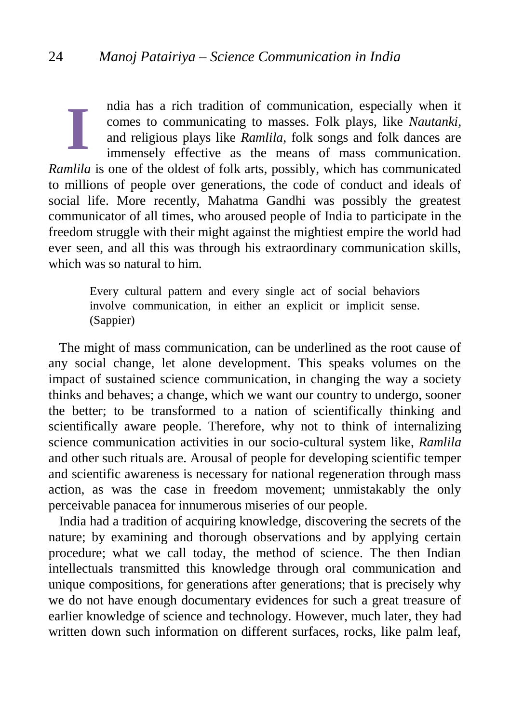ndia has a rich tradition of communication, especially when it comes to communicating to masses. Folk plays, like *Nautanki*, and religious plays like *Ramlila*, folk songs and folk dances are immensely effective as the means of mass communication. *Ramlila* is one of the oldest of folk arts, possibly, which has communicated to millions of people over generations, the code of conduct and ideals of social life. More recently, Mahatma Gandhi was possibly the greatest communicator of all times, who aroused people of India to participate in the freedom struggle with their might against the mightiest empire the world had ever seen, and all this was through his extraordinary communication skills, which was so natural to him. **I**

Every cultural pattern and every single act of social behaviors involve communication, in either an explicit or implicit sense. (Sappier)

The might of mass communication, can be underlined as the root cause of any social change, let alone development. This speaks volumes on the impact of sustained science communication, in changing the way a society thinks and behaves; a change, which we want our country to undergo, sooner the better; to be transformed to a nation of scientifically thinking and scientifically aware people. Therefore, why not to think of internalizing science communication activities in our socio-cultural system like, *Ramlila*  and other such rituals are*.* Arousal of people for developing scientific temper and scientific awareness is necessary for national regeneration through mass action, as was the case in freedom movement; unmistakably the only perceivable panacea for innumerous miseries of our people.

India had a tradition of acquiring knowledge, discovering the secrets of the nature; by examining and thorough observations and by applying certain procedure; what we call today, the method of science. The then Indian intellectuals transmitted this knowledge through oral communication and unique compositions, for generations after generations; that is precisely why we do not have enough documentary evidences for such a great treasure of earlier knowledge of science and technology. However, much later, they had written down such information on different surfaces, rocks, like palm leaf,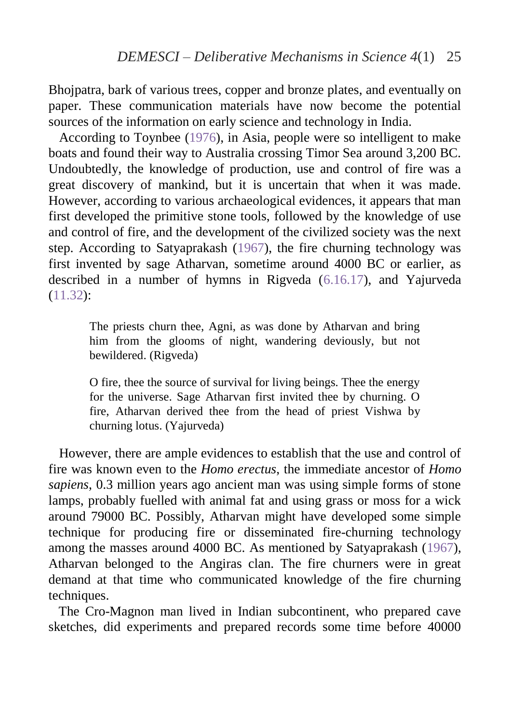Bhojpatra, bark of various trees, copper and bronze plates, and eventually on paper. These communication materials have now become the potential sources of the information on early science and technology in India.

According to Toynbee [\(1976\)](#page-40-0), in Asia, people were so intelligent to make boats and found their way to Australia crossing Timor Sea around 3,200 BC. Undoubtedly, the knowledge of production, use and control of fire was a great discovery of mankind, but it is uncertain that when it was made. However, according to various archaeological evidences, it appears that man first developed the primitive stone tools, followed by the knowledge of use and control of fire, and the development of the civilized society was the next step. According to Satyaprakash [\(1967\)](#page-40-0), the fire churning technology was first invented by sage Atharvan, sometime around 4000 BC or earlier, as described in a number of hymns in Rigveda [\(6.16.17\)](#page-40-0), and Yajurveda (11.32):

> The priests churn thee, Agni, as was done by Atharvan and bring him from the glooms of night, wandering deviously, but not bewildered. (Rigveda)

> O fire, thee the source of survival for living beings. Thee the energy for the universe. Sage Atharvan first invited thee by churning. O fire, Atharvan derived thee from the head of priest Vishwa by churning lotus. (Yajurveda)

However, there are ample evidences to establish that the use and control of fire was known even to the *Homo erectus*, the immediate ancestor of *Homo sapiens*, 0.3 million years ago ancient man was using simple forms of stone lamps, probably fuelled with animal fat and using grass or moss for a wick around 79000 BC. Possibly, Atharvan might have developed some simple technique for producing fire or disseminated fire-churning technology among the masses around 4000 BC. As mentioned by Satyaprakash (1967), Atharvan belonged to the Angiras clan. The fire churners were in great demand at that time who communicated knowledge of the fire churning techniques.

 The Cro-Magnon man lived in Indian subcontinent, who prepared cave sketches, did experiments and prepared records some time before 40000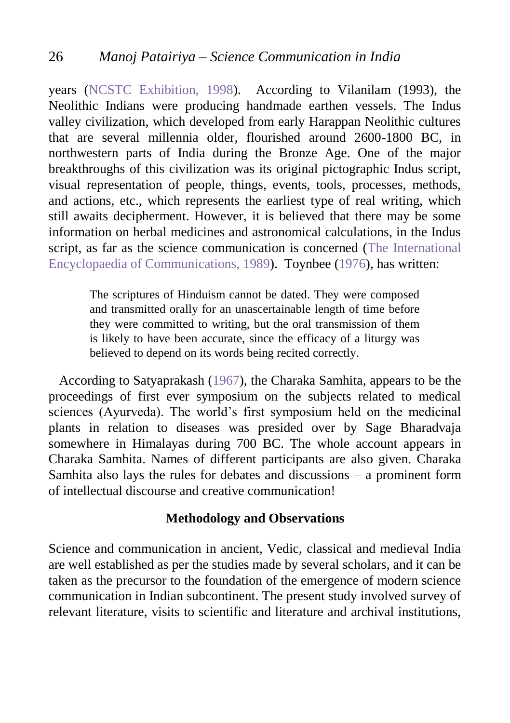years (NCSTC Exhibition, 1998). According to Vilanilam (1993), the Neolithic Indians were producing handmade earthen vessels. The Indus valley civilization, which developed from early Harappan Neolithic cultures that are several millennia older, flourished around 2600-1800 BC, in northwestern parts of India during the Bronze Age. One of the major breakthroughs of this civilization was its original pictographic Indus script, visual representation of people, things, events, tools, processes, methods, and actions, etc., which represents the earliest type of real writing, which still awaits decipherment. However, it is believed that there may be some information on herbal medicines and astronomical calculations, in the Indus script, as far as the science communication is concerned [\(The International](#page-40-0)  [Encyclopaedia of Communications, 1989\)](#page-40-0). Toynbee (1976), has written:

> The scriptures of Hinduism cannot be dated. They were composed and transmitted orally for an unascertainable length of time before they were committed to writing, but the oral transmission of them is likely to have been accurate, since the efficacy of a liturgy was believed to depend on its words being recited correctly.

According to Satyaprakash (1967), the Charaka Samhita, appears to be the proceedings of first ever symposium on the subjects related to medical sciences (Ayurveda). The world's first symposium held on the medicinal plants in relation to diseases was presided over by Sage Bharadvaja somewhere in Himalayas during 700 BC. The whole account appears in Charaka Samhita. Names of different participants are also given. Charaka Samhita also lays the rules for debates and discussions – a prominent form of intellectual discourse and creative communication!

## **Methodology and Observations**

Science and communication in ancient, Vedic, classical and medieval India are well established as per the studies made by several scholars, and it can be taken as the precursor to the foundation of the emergence of modern science communication in Indian subcontinent. The present study involved survey of relevant literature, visits to scientific and literature and archival institutions,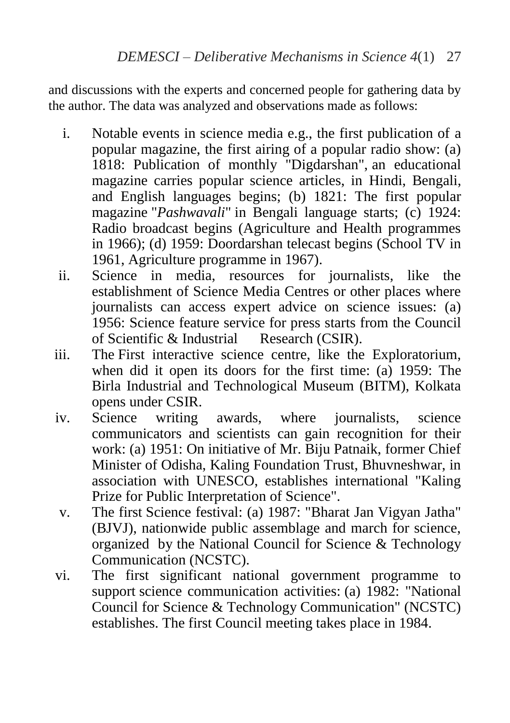and discussions with the experts and concerned people for gathering data by the author. The data was analyzed and observations made as follows:

- i. Notable events in science media e.g., the first publication of a popular magazine, the first airing of a popular radio show: (a) 1818: Publication of monthly "Digdarshan", an educational magazine carries popular science articles, in Hindi, Bengali, and English languages begins; (b) 1821: The first popular magazine "*Pashwavali*" in Bengali language starts; (c) 1924: Radio broadcast begins (Agriculture and Health programmes in 1966); (d) 1959: Doordarshan telecast begins (School TV in 1961, Agriculture programme in 1967).
- ii. Science in media, resources for journalists, like the establishment of Science Media Centres or other places where journalists can access expert advice on science issues: (a) 1956: Science feature service for press starts from the Council<br>of Scientific & Industrial Research (CSIR). of Scientific & Industrial
- iii. The First interactive science centre, like the Exploratorium, when did it open its doors for the first time:  $(a)$  1959: The Birla Industrial and Technological Museum (BITM), Kolkata opens under CSIR.
- iv. Science writing awards, where journalists, science communicators and scientists can gain recognition for their work: (a) 1951: On initiative of Mr. Biju Patnaik, former Chief Minister of Odisha, Kaling Foundation Trust, Bhuvneshwar, in association with UNESCO, establishes international "Kaling Prize for Public Interpretation of Science".
- v. The first Science festival: (a) 1987: "Bharat Jan Vigyan Jatha" (BJVJ), nationwide public assemblage and march for science, organized by the National Council for Science & Technology Communication (NCSTC).
- vi. The first significant national government programme to support science communication activities: (a) 1982: "National Council for Science & Technology Communication" (NCSTC) establishes. The first Council meeting takes place in 1984.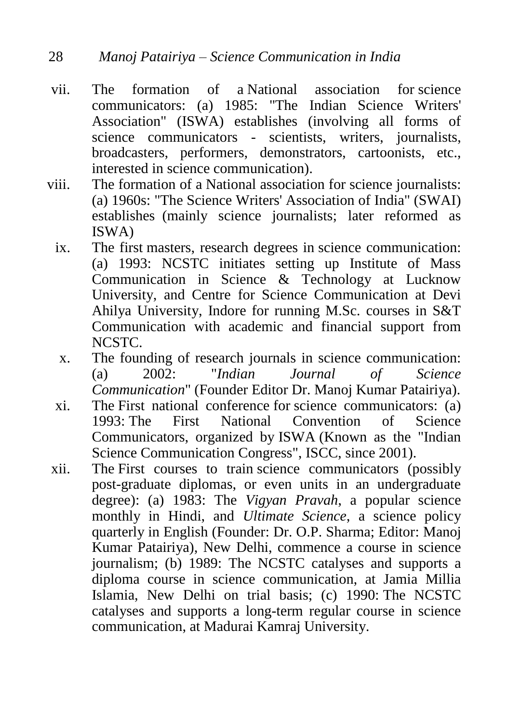- vii. The formation of a National association for science communicators: (a) 1985: "The Indian Science Writers' Association" (ISWA) establishes (involving all forms of science communicators - scientists, writers, journalists, broadcasters, performers, demonstrators, cartoonists, etc., interested in science communication).
- viii. The formation of a National association for science journalists: (a) 1960s: "The Science Writers' Association of India" (SWAI) establishes (mainly science journalists; later reformed as ISWA)
	- ix. The first masters, research degrees in science communication: (a) 1993: NCSTC initiates setting up Institute of Mass Communication in Science & Technology at Lucknow University, and Centre for Science Communication at Devi Ahilya University, Indore for running M.Sc. courses in S&T Communication with academic and financial support from NCSTC.
	- x. The founding of research journals in science communication: (a) 2002: "*Indian Journal of Science Communication*" (Founder Editor Dr. Manoj Kumar Patairiya).
	- xi. The First national conference for science communicators: (a) 1993: The First National Convention of Science Communicators, organized by ISWA (Known as the "Indian Science Communication Congress", ISCC, since 2001).
- xii. The First courses to train science communicators (possibly post-graduate diplomas, or even units in an undergraduate degree): (a) 1983: The *Vigyan Pravah*, a popular science monthly in Hindi, and *Ultimate Science*, a science policy quarterly in English (Founder: Dr. O.P. Sharma; Editor: Manoj Kumar Patairiya), New Delhi, commence a course in science journalism; (b) 1989: The NCSTC catalyses and supports a diploma course in science communication, at Jamia Millia Islamia, New Delhi on trial basis; (c) 1990: The NCSTC catalyses and supports a long-term regular course in science communication, at Madurai Kamraj University.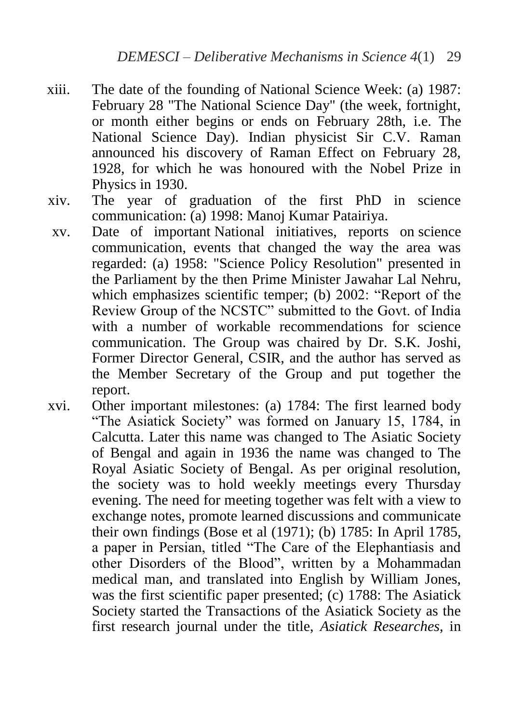- xiii. The date of the founding of National Science Week: (a) 1987: February 28 "The National Science Day" (the week, fortnight, or month either begins or ends on February 28th, i.e. The National Science Day). Indian physicist Sir C.V. Raman announced his discovery of Raman Effect on February 28, 1928, for which he was honoured with the Nobel Prize in Physics in 1930.
- xiv. The year of graduation of the first PhD in science communication: (a) 1998: Manoj Kumar Patairiya.
- xv. Date of important National initiatives, reports on science communication, events that changed the way the area was regarded: (a) 1958: "Science Policy Resolution" presented in the Parliament by the then Prime Minister Jawahar Lal Nehru, which emphasizes scientific temper; (b) 2002: "Report of the Review Group of the NCSTC" submitted to the Govt. of India with a number of workable recommendations for science communication. The Group was chaired by Dr. S.K. Joshi, Former Director General, CSIR, and the author has served as the Member Secretary of the Group and put together the report.
- xvi. Other important milestones: (a) 1784: The first learned body "The Asiatick Society" was formed on January 15, 1784, in Calcutta. Later this name was changed to The Asiatic Society of Bengal and again in 1936 the name was changed to The Royal Asiatic Society of Bengal. As per original resolution, the society was to hold weekly meetings every Thursday evening. The need for meeting together was felt with a view to exchange notes, promote learned discussions and communicate their own findings (Bose et al (1971); (b) 1785: In April 1785, a paper in Persian, titled "The Care of the Elephantiasis and other Disorders of the Blood", written by a Mohammadan medical man, and translated into English by William Jones, was the first scientific paper presented; (c) 1788: The Asiatick Society started the Transactions of the Asiatick Society as the first research journal under the title, *Asiatick Researches*, in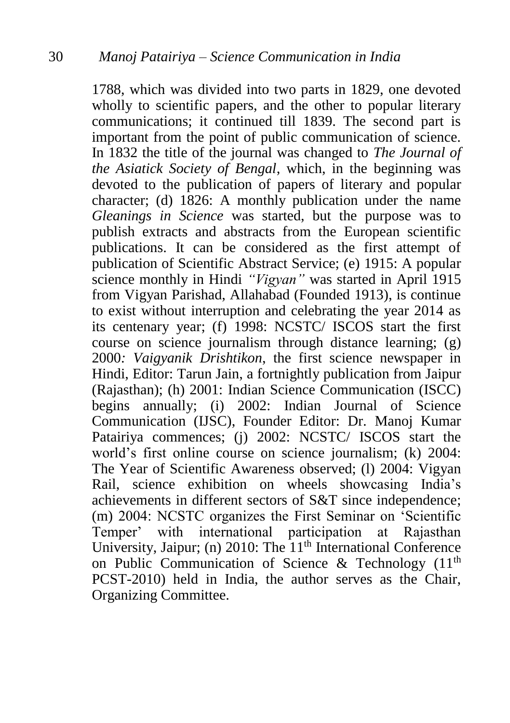1788, which was divided into two parts in 1829, one devoted wholly to scientific papers, and the other to popular literary communications; it continued till 1839. The second part is important from the point of public communication of science. In 1832 the title of the journal was changed to *The Journal of the Asiatick Society of Bengal*, which, in the beginning was devoted to the publication of papers of literary and popular character; (d) 1826: A monthly publication under the name *Gleanings in Science* was started, but the purpose was to publish extracts and abstracts from the European scientific publications. It can be considered as the first attempt of publication of Scientific Abstract Service; (e) 1915: A popular science monthly in Hindi *"Vigyan"* was started in April 1915 from Vigyan Parishad, Allahabad (Founded 1913), is continue to exist without interruption and celebrating the year 2014 as its centenary year; (f) 1998: NCSTC/ ISCOS start the first course on science journalism through distance learning; (g) 2000*: Vaigyanik Drishtikon*, the first science newspaper in Hindi, Editor: Tarun Jain, a fortnightly publication from Jaipur (Rajasthan); (h) 2001: Indian Science Communication (ISCC) begins annually; (i) 2002: Indian Journal of Science Communication (IJSC), Founder Editor: Dr. Manoj Kumar Patairiya commences; (j) 2002: NCSTC/ ISCOS start the world's first online course on science journalism; (k) 2004: The Year of Scientific Awareness observed; (l) 2004: Vigyan Rail, science exhibition on wheels showcasing India's achievements in different sectors of S&T since independence; (m) 2004: NCSTC organizes the First Seminar on 'Scientific Temper' with international participation at Rajasthan University, Jaipur; (n) 2010: The 11<sup>th</sup> International Conference on Public Communication of Science & Technology  $(11<sup>th</sup>)$ PCST-2010) held in India, the author serves as the Chair, Organizing Committee.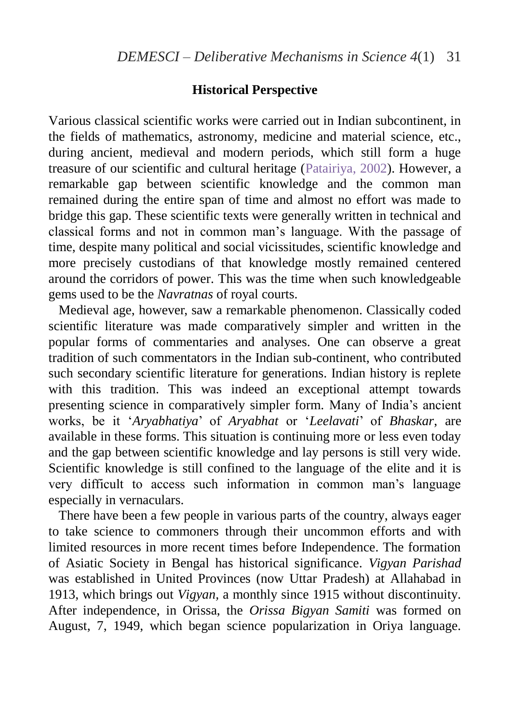# **Historical Perspective**

Various classical scientific works were carried out in Indian subcontinent, in the fields of mathematics, astronomy, medicine and material science, etc., during ancient, medieval and modern periods, which still form a huge treasure of our scientific and cultural heritage [\(Patairiya, 2002\)](#page-40-0). However, a remarkable gap between scientific knowledge and the common man remained during the entire span of time and almost no effort was made to bridge this gap. These scientific texts were generally written in technical and classical forms and not in common man's language. With the passage of time, despite many political and social vicissitudes, scientific knowledge and more precisely custodians of that knowledge mostly remained centered around the corridors of power. This was the time when such knowledgeable gems used to be the *Navratnas* of royal courts.

Medieval age, however, saw a remarkable phenomenon. Classically coded scientific literature was made comparatively simpler and written in the popular forms of commentaries and analyses. One can observe a great tradition of such commentators in the Indian sub-continent, who contributed such secondary scientific literature for generations. Indian history is replete with this tradition. This was indeed an exceptional attempt towards presenting science in comparatively simpler form. Many of India's ancient works, be it '*Aryabhatiya*' of *Aryabhat* or '*Leelavati*' of *Bhaskar*, are available in these forms. This situation is continuing more or less even today and the gap between scientific knowledge and lay persons is still very wide. Scientific knowledge is still confined to the language of the elite and it is very difficult to access such information in common man's language especially in vernaculars.

 There have been a few people in various parts of the country, always eager to take science to commoners through their uncommon efforts and with limited resources in more recent times before Independence. The formation of Asiatic Society in Bengal has historical significance. *Vigyan Parishad* was established in United Provinces (now Uttar Pradesh) at Allahabad in 1913, which brings out *Vigyan,* a monthly since 1915 without discontinuity. After independence, in Orissa, the *Orissa Bigyan Samiti* was formed on August, 7, 1949, which began science popularization in Oriya language.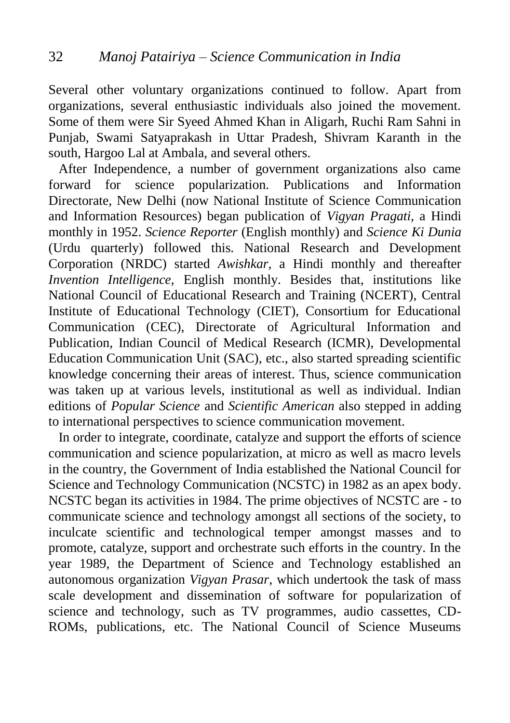Several other voluntary organizations continued to follow. Apart from organizations, several enthusiastic individuals also joined the movement. Some of them were Sir Syeed Ahmed Khan in Aligarh, Ruchi Ram Sahni in Punjab, Swami Satyaprakash in Uttar Pradesh, Shivram Karanth in the south, Hargoo Lal at Ambala, and several others.

 After Independence, a number of government organizations also came forward for science popularization. Publications and Information Directorate, New Delhi (now National Institute of Science Communication and Information Resources) began publication of *Vigyan Pragati,* a Hindi monthly in 1952. *Science Reporter* (English monthly) and *Science Ki Dunia* (Urdu quarterly) followed this. National Research and Development Corporation (NRDC) started *Awishkar,* a Hindi monthly and thereafter *Invention Intelligence,* English monthly. Besides that, institutions like National Council of Educational Research and Training (NCERT), Central Institute of Educational Technology (CIET), Consortium for Educational Communication (CEC), Directorate of Agricultural Information and Publication, Indian Council of Medical Research (ICMR), Developmental Education Communication Unit (SAC), etc., also started spreading scientific knowledge concerning their areas of interest. Thus, science communication was taken up at various levels, institutional as well as individual. Indian editions of *Popular Science* and *Scientific American* also stepped in adding to international perspectives to science communication movement.

 In order to integrate, coordinate, catalyze and support the efforts of science communication and science popularization, at micro as well as macro levels in the country, the Government of India established the National Council for Science and Technology Communication (NCSTC) in 1982 as an apex body. NCSTC began its activities in 1984. The prime objectives of NCSTC are - to communicate science and technology amongst all sections of the society, to inculcate scientific and technological temper amongst masses and to promote, catalyze, support and orchestrate such efforts in the country. In the year 1989, the Department of Science and Technology established an autonomous organization *Vigyan Prasar*, which undertook the task of mass scale development and dissemination of software for popularization of science and technology, such as TV programmes, audio cassettes, CD-ROMs, publications, etc. The National Council of Science Museums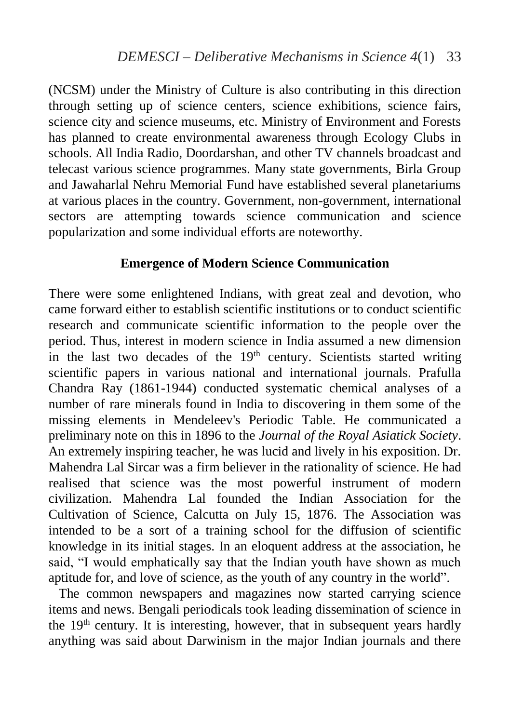(NCSM) under the Ministry of Culture is also contributing in this direction through setting up of science centers, science exhibitions, science fairs, science city and science museums, etc. Ministry of Environment and Forests has planned to create environmental awareness through Ecology Clubs in schools. All India Radio, Doordarshan, and other TV channels broadcast and telecast various science programmes. Many state governments, Birla Group and Jawaharlal Nehru Memorial Fund have established several planetariums at various places in the country. Government, non-government, international sectors are attempting towards science communication and science popularization and some individual efforts are noteworthy.

#### **Emergence of Modern Science Communication**

There were some enlightened Indians, with great zeal and devotion, who came forward either to establish scientific institutions or to conduct scientific research and communicate scientific information to the people over the period. Thus, interest in modern science in India assumed a new dimension in the last two decades of the  $19<sup>th</sup>$  century. Scientists started writing scientific papers in various national and international journals. Prafulla Chandra Ray (1861-1944) conducted systematic chemical analyses of a number of rare minerals found in India to discovering in them some of the missing elements in Mendeleev's Periodic Table. He communicated a preliminary note on this in 1896 to the *Journal of the Royal Asiatick Society*. An extremely inspiring teacher, he was lucid and lively in his exposition. Dr. Mahendra Lal Sircar was a firm believer in the rationality of science. He had realised that science was the most powerful instrument of modern civilization. Mahendra Lal founded the Indian Association for the Cultivation of Science, Calcutta on July 15, 1876. The Association was intended to be a sort of a training school for the diffusion of scientific knowledge in its initial stages. In an eloquent address at the association, he said, "I would emphatically say that the Indian youth have shown as much aptitude for, and love of science, as the youth of any country in the world".

 The common newspapers and magazines now started carrying science items and news. Bengali periodicals took leading dissemination of science in the  $19<sup>th</sup>$  century. It is interesting, however, that in subsequent years hardly anything was said about Darwinism in the major Indian journals and there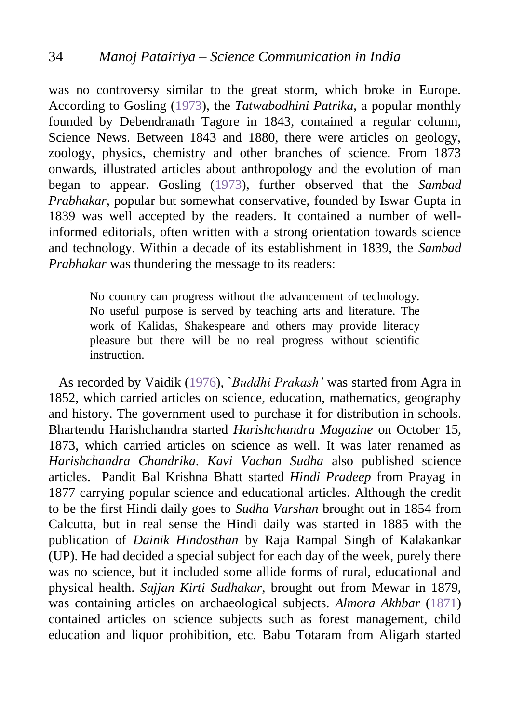was no controversy similar to the great storm, which broke in Europe. According to Gosling [\(1973\)](#page-40-0), the *Tatwabodhini Patrika*, a popular monthly founded by Debendranath Tagore in 1843, contained a regular column, Science News. Between 1843 and 1880, there were articles on geology, zoology, physics, chemistry and other branches of science. From 1873 onwards, illustrated articles about anthropology and the evolution of man began to appear. Gosling [\(1973\)](#page-40-0), further observed that the *Sambad Prabhakar*, popular but somewhat conservative, founded by Iswar Gupta in 1839 was well accepted by the readers. It contained a number of wellinformed editorials, often written with a strong orientation towards science and technology. Within a decade of its establishment in 1839, the *Sambad Prabhakar* was thundering the message to its readers:

> No country can progress without the advancement of technology. No useful purpose is served by teaching arts and literature. The work of Kalidas, Shakespeare and others may provide literacy pleasure but there will be no real progress without scientific instruction.

 As recorded by Vaidik [\(1976\)](#page-40-0), `*Buddhi Prakash'* was started from Agra in 1852, which carried articles on science, education, mathematics, geography and history. The government used to purchase it for distribution in schools. Bhartendu Harishchandra started *Harishchandra Magazine* on October 15, 1873, which carried articles on science as well. It was later renamed as *Harishchandra Chandrika*. *Kavi Vachan Sudha* also published science articles. Pandit Bal Krishna Bhatt started *Hindi Pradeep* from Prayag in 1877 carrying popular science and educational articles. Although the credit to be the first Hindi daily goes to *Sudha Varshan* brought out in 1854 from Calcutta, but in real sense the Hindi daily was started in 1885 with the publication of *Dainik Hindosthan* by Raja Rampal Singh of Kalakankar (UP). He had decided a special subject for each day of the week, purely there was no science, but it included some allide forms of rural, educational and physical health. *Sajjan Kirti Sudhakar*, brought out from Mewar in 1879, was containing articles on archaeological subjects. *Almora Akhbar* [\(1871\)](#page-40-0) contained articles on science subjects such as forest management, child education and liquor prohibition, etc. Babu Totaram from Aligarh started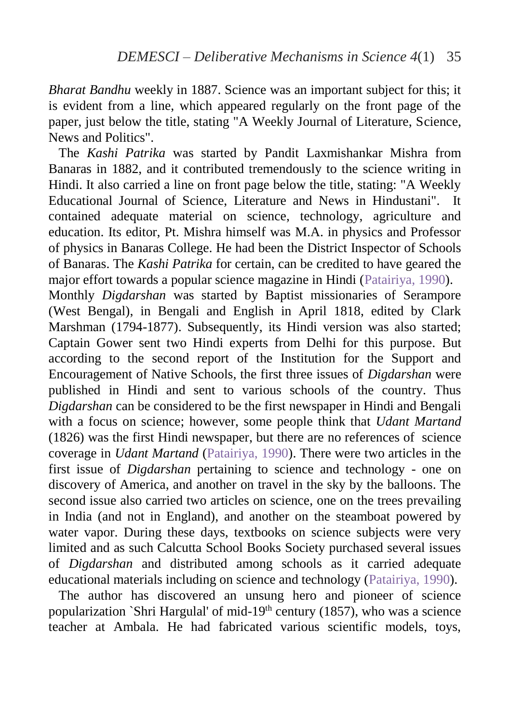*Bharat Bandhu* weekly in 1887. Science was an important subject for this; it is evident from a line, which appeared regularly on the front page of the paper, just below the title, stating "A Weekly Journal of Literature, Science, News and Politics".

 The *Kashi Patrika* was started by Pandit Laxmishankar Mishra from Banaras in 1882, and it contributed tremendously to the science writing in Hindi. It also carried a line on front page below the title, stating: "A Weekly Educational Journal of Science, Literature and News in Hindustani". It contained adequate material on science, technology, agriculture and education. Its editor, Pt. Mishra himself was M.A. in physics and Professor of physics in Banaras College. He had been the District Inspector of Schools of Banaras. The *Kashi Patrika* for certain, can be credited to have geared the major effort towards a popular science magazine in Hindi [\(Patairiya, 1990\)](#page-40-0). Monthly *Digdarshan* was started by Baptist missionaries of Serampore (West Bengal), in Bengali and English in April 1818, edited by Clark Marshman (1794-1877). Subsequently, its Hindi version was also started; Captain Gower sent two Hindi experts from Delhi for this purpose. But according to the second report of the Institution for the Support and Encouragement of Native Schools, the first three issues of *Digdarshan* were published in Hindi and sent to various schools of the country. Thus *Digdarshan* can be considered to be the first newspaper in Hindi and Bengali with a focus on science; however, some people think that *Udant Martand* (1826) was the first Hindi newspaper, but there are no references of science coverage in *Udant Martand* [\(Patairiya, 1990\)](#page-40-0). There were two articles in the first issue of *Digdarshan* pertaining to science and technology - one on discovery of America, and another on travel in the sky by the balloons. The second issue also carried two articles on science, one on the trees prevailing in India (and not in England), and another on the steamboat powered by water vapor. During these days, textbooks on science subjects were very limited and as such Calcutta School Books Society purchased several issues of *Digdarshan* and distributed among schools as it carried adequate educational materials including on science and technology [\(Patairiya, 1990\)](#page-40-0).

 The author has discovered an unsung hero and pioneer of science popularization `Shri Hargulal' of mid-19<sup>th</sup> century  $(1857)$ , who was a science teacher at Ambala. He had fabricated various scientific models, toys,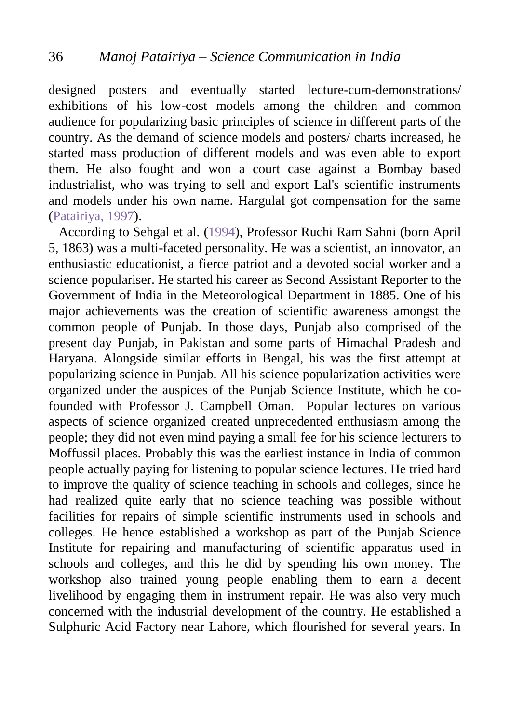designed posters and eventually started lecture-cum-demonstrations/ exhibitions of his low-cost models among the children and common audience for popularizing basic principles of science in different parts of the country. As the demand of science models and posters/ charts increased, he started mass production of different models and was even able to export them. He also fought and won a court case against a Bombay based industrialist, who was trying to sell and export Lal's scientific instruments and models under his own name. Hargulal got compensation for the same [\(Patairiya, 1997\)](#page-40-0).

 According to Sehgal et al. [\(1994\)](#page-40-0), Professor Ruchi Ram Sahni (born April 5, 1863) was a multi-faceted personality. He was a scientist, an innovator, an enthusiastic educationist, a fierce patriot and a devoted social worker and a science populariser. He started his career as Second Assistant Reporter to the Government of India in the Meteorological Department in 1885. One of his major achievements was the creation of scientific awareness amongst the common people of Punjab. In those days, Punjab also comprised of the present day Punjab, in Pakistan and some parts of Himachal Pradesh and Haryana. Alongside similar efforts in Bengal, his was the first attempt at popularizing science in Punjab. All his science popularization activities were organized under the auspices of the Punjab Science Institute, which he cofounded with Professor J. Campbell Oman. Popular lectures on various aspects of science organized created unprecedented enthusiasm among the people; they did not even mind paying a small fee for his science lecturers to Moffussil places. Probably this was the earliest instance in India of common people actually paying for listening to popular science lectures. He tried hard to improve the quality of science teaching in schools and colleges, since he had realized quite early that no science teaching was possible without facilities for repairs of simple scientific instruments used in schools and colleges. He hence established a workshop as part of the Punjab Science Institute for repairing and manufacturing of scientific apparatus used in schools and colleges, and this he did by spending his own money. The workshop also trained young people enabling them to earn a decent livelihood by engaging them in instrument repair. He was also very much concerned with the industrial development of the country. He established a Sulphuric Acid Factory near Lahore, which flourished for several years. In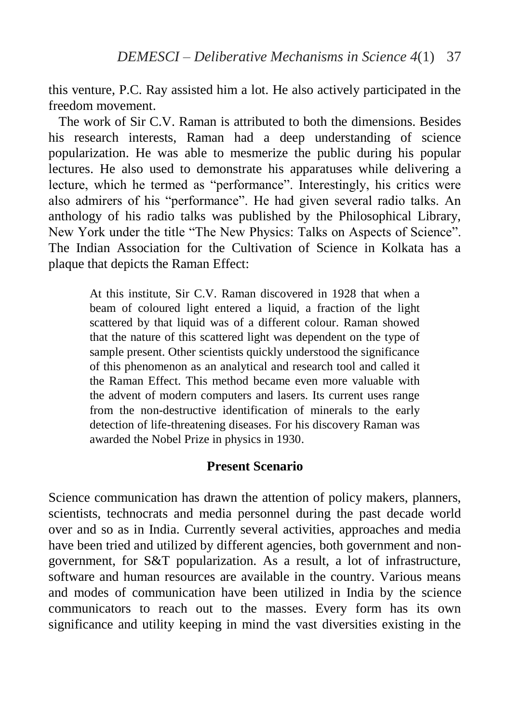this venture, P.C. Ray assisted him a lot. He also actively participated in the freedom movement.

The work of  $\text{Sir } \text{C} \text{V}$ . Raman is attributed to both the dimensions. Besides his research interests, Raman had a deep understanding of science popularization. He was able to mesmerize the public during his popular lectures. He also used to demonstrate his apparatuses while delivering a lecture, which he termed as "performance". Interestingly, his critics were also admirers of his "performance". He had given several radio talks. An anthology of his radio talks was published by the Philosophical Library, New York under the title "The New Physics: Talks on Aspects of Science". The Indian Association for the Cultivation of Science in Kolkata has a plaque that depicts the Raman Effect:

At this institute, Sir C.V. Raman discovered in 1928 that when a beam of coloured light entered a liquid, a fraction of the light scattered by that liquid was of a different colour. Raman showed that the nature of this scattered light was dependent on the type of sample present. Other scientists quickly understood the significance of this phenomenon as an analytical and research tool and called it the Raman Effect. This method became even more valuable with the advent of modern computers and lasers. Its current uses range from the non-destructive identification of minerals to the early detection of life-threatening diseases. For his discovery Raman was awarded the Nobel Prize in physics in 1930.

## **Present Scenario**

Science communication has drawn the attention of policy makers, planners, scientists, technocrats and media personnel during the past decade world over and so as in India. Currently several activities, approaches and media have been tried and utilized by different agencies, both government and nongovernment, for S&T popularization. As a result, a lot of infrastructure, software and human resources are available in the country. Various means and modes of communication have been utilized in India by the science communicators to reach out to the masses. Every form has its own significance and utility keeping in mind the vast diversities existing in the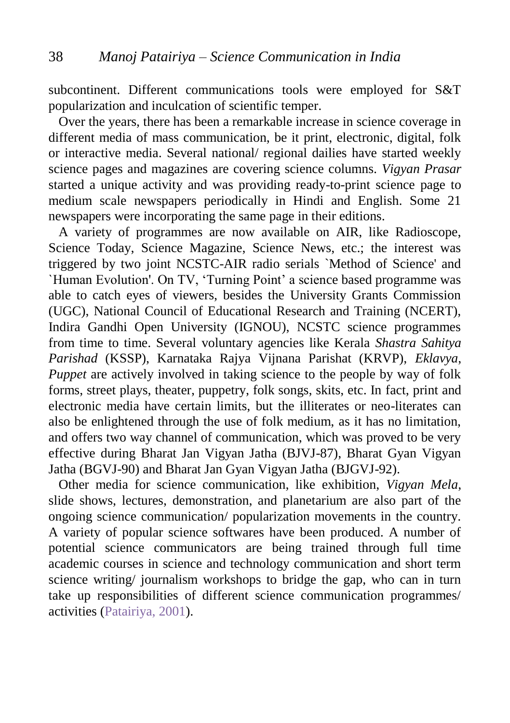subcontinent. Different communications tools were employed for S&T popularization and inculcation of scientific temper.

 Over the years, there has been a remarkable increase in science coverage in different media of mass communication, be it print, electronic, digital, folk or interactive media. Several national/ regional dailies have started weekly science pages and magazines are covering science columns. *Vigyan Prasar* started a unique activity and was providing ready-to-print science page to medium scale newspapers periodically in Hindi and English. Some 21 newspapers were incorporating the same page in their editions.

 A variety of programmes are now available on AIR, like Radioscope, Science Today, Science Magazine, Science News, etc.; the interest was triggered by two joint NCSTC-AIR radio serials `Method of Science' and `Human Evolution'. On TV, 'Turning Point' a science based programme was able to catch eyes of viewers, besides the University Grants Commission (UGC), National Council of Educational Research and Training (NCERT), Indira Gandhi Open University (IGNOU), NCSTC science programmes from time to time. Several voluntary agencies like Kerala *Shastra Sahitya Parishad* (KSSP), Karnataka Rajya Vijnana Parishat (KRVP), *Eklavya*, *Puppet* are actively involved in taking science to the people by way of folk forms, street plays, theater, puppetry, folk songs, skits, etc. In fact, print and electronic media have certain limits, but the illiterates or neo-literates can also be enlightened through the use of folk medium, as it has no limitation, and offers two way channel of communication, which was proved to be very effective during Bharat Jan Vigyan Jatha (BJVJ-87), Bharat Gyan Vigyan Jatha (BGVJ-90) and Bharat Jan Gyan Vigyan Jatha (BJGVJ-92).

 Other media for science communication, like exhibition, *Vigyan Mela*, slide shows, lectures, demonstration, and planetarium are also part of the ongoing science communication/ popularization movements in the country. A variety of popular science softwares have been produced. A number of potential science communicators are being trained through full time academic courses in science and technology communication and short term science writing/ journalism workshops to bridge the gap, who can in turn take up responsibilities of different science communication programmes/ activities [\(Patairiya, 2001\)](#page-40-0).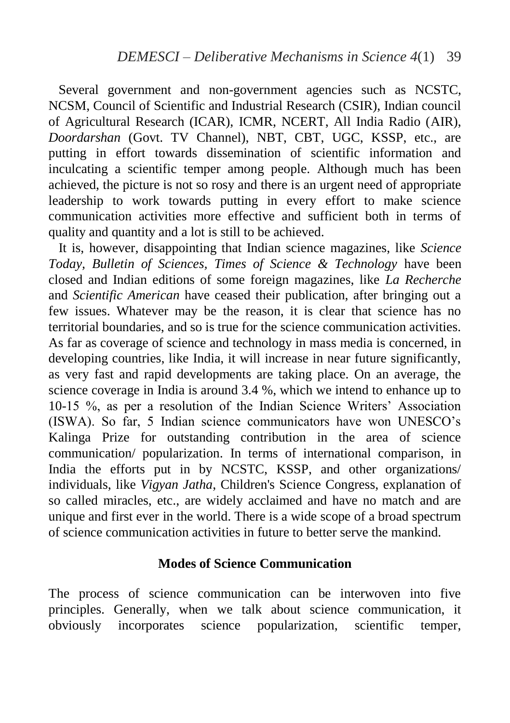Several government and non-government agencies such as NCSTC, NCSM, Council of Scientific and Industrial Research (CSIR), Indian council of Agricultural Research (ICAR), ICMR, NCERT, All India Radio (AIR), *Doordarshan* (Govt. TV Channel), NBT, CBT, UGC, KSSP, etc., are putting in effort towards dissemination of scientific information and inculcating a scientific temper among people. Although much has been achieved, the picture is not so rosy and there is an urgent need of appropriate leadership to work towards putting in every effort to make science communication activities more effective and sufficient both in terms of quality and quantity and a lot is still to be achieved.

 It is, however, disappointing that Indian science magazines, like *Science Today, Bulletin of Sciences, Times of Science & Technology* have been closed and Indian editions of some foreign magazines, like *La Recherche* and *Scientific American* have ceased their publication, after bringing out a few issues. Whatever may be the reason, it is clear that science has no territorial boundaries, and so is true for the science communication activities. As far as coverage of science and technology in mass media is concerned, in developing countries, like India, it will increase in near future significantly, as very fast and rapid developments are taking place. On an average, the science coverage in India is around 3.4 %, which we intend to enhance up to 10-15 %, as per a resolution of the Indian Science Writers' Association (ISWA). So far, 5 Indian science communicators have won UNESCO's Kalinga Prize for outstanding contribution in the area of science communication/ popularization. In terms of international comparison, in India the efforts put in by NCSTC, KSSP, and other organizations/ individuals, like *Vigyan Jatha*, Children's Science Congress, explanation of so called miracles, etc., are widely acclaimed and have no match and are unique and first ever in the world. There is a wide scope of a broad spectrum of science communication activities in future to better serve the mankind.

#### **Modes of Science Communication**

The process of science communication can be interwoven into five principles. Generally, when we talk about science communication, it obviously incorporates science popularization, scientific temper,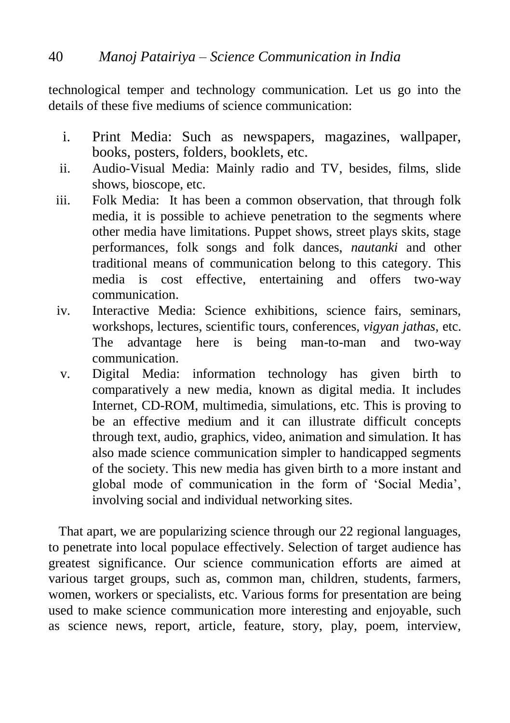technological temper and technology communication. Let us go into the details of these five mediums of science communication:

- i. Print Media: Such as newspapers, magazines, wallpaper, books, posters, folders, booklets, etc.
- ii. Audio-Visual Media: Mainly radio and TV, besides, films, slide shows, bioscope, etc.
- iii. Folk Media: It has been a common observation, that through folk media, it is possible to achieve penetration to the segments where other media have limitations. Puppet shows, street plays skits, stage performances, folk songs and folk dances, *nautanki* and other traditional means of communication belong to this category. This media is cost effective, entertaining and offers two-way communication.
- iv. Interactive Media: Science exhibitions, science fairs, seminars, workshops, lectures, scientific tours, conferences, *vigyan jathas*, etc. The advantage here is being man-to-man and two-way communication.
- v. Digital Media: information technology has given birth to comparatively a new media, known as digital media. It includes Internet, CD-ROM, multimedia, simulations, etc. This is proving to be an effective medium and it can illustrate difficult concepts through text, audio, graphics, video, animation and simulation. It has also made science communication simpler to handicapped segments of the society. This new media has given birth to a more instant and global mode of communication in the form of 'Social Media', involving social and individual networking sites.

 That apart, we are popularizing science through our 22 regional languages, to penetrate into local populace effectively. Selection of target audience has greatest significance. Our science communication efforts are aimed at various target groups, such as, common man, children, students, farmers, women, workers or specialists, etc. Various forms for presentation are being used to make science communication more interesting and enjoyable, such as science news, report, article, feature, story, play, poem, interview,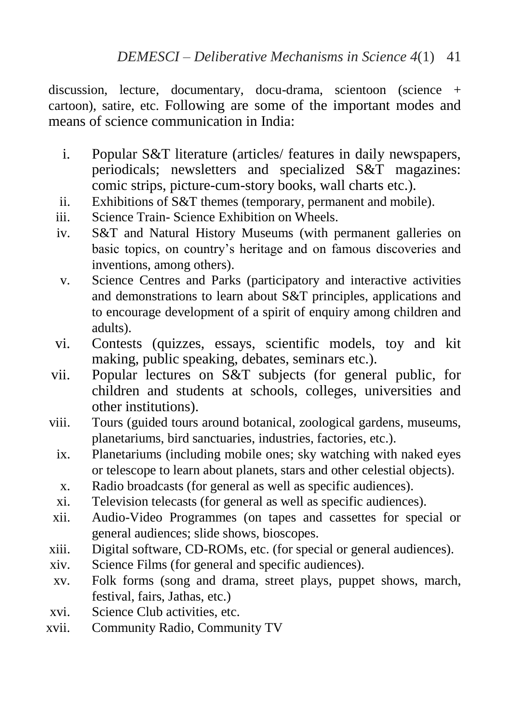discussion, lecture, documentary, docu-drama, scientoon (science + cartoon), satire, etc. Following are some of the important modes and means of science communication in India:

- i. Popular S&T literature (articles/ features in daily newspapers, periodicals; newsletters and specialized S&T magazines: comic strips, picture-cum-story books, wall charts etc.).
- ii. Exhibitions of S&T themes (temporary, permanent and mobile).
- iii. Science Train- Science Exhibition on Wheels.
- iv. S&T and Natural History Museums (with permanent galleries on basic topics, on country's heritage and on famous discoveries and inventions, among others).
- v. Science Centres and Parks (participatory and interactive activities and demonstrations to learn about S&T principles, applications and to encourage development of a spirit of enquiry among children and adults).
- vi. Contests (quizzes, essays, scientific models, toy and kit making, public speaking, debates, seminars etc.).
- vii. Popular lectures on S&T subjects (for general public, for children and students at schools, colleges, universities and other institutions).
- viii. Tours (guided tours around botanical, zoological gardens, museums, planetariums, bird sanctuaries, industries, factories, etc.).
	- ix. Planetariums (including mobile ones; sky watching with naked eyes or telescope to learn about planets, stars and other celestial objects).
	- x. Radio broadcasts (for general as well as specific audiences).
	- xi. Television telecasts (for general as well as specific audiences).
- xii. Audio-Video Programmes (on tapes and cassettes for special or general audiences; slide shows, bioscopes.
- xiii. Digital software, CD-ROMs, etc. (for special or general audiences).
- xiv. Science Films (for general and specific audiences).
- xv. Folk forms (song and drama, street plays, puppet shows, march, festival, fairs, Jathas, etc.)
- xvi. Science Club activities, etc.
- xvii. Community Radio, Community TV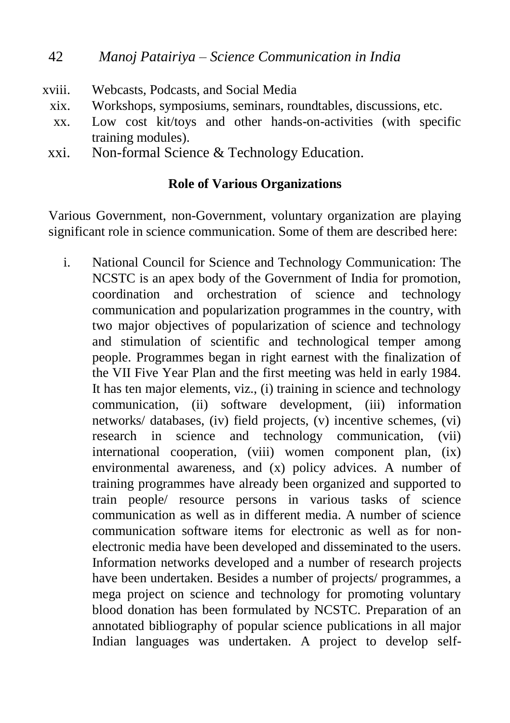- xviii. Webcasts, Podcasts, and Social Media
	- xix. Workshops, symposiums, seminars, roundtables, discussions, etc.
	- xx. Low cost kit/toys and other hands-on-activities (with specific training modules).
	- xxi. Non-formal Science & Technology Education.

# **Role of Various Organizations**

Various Government, non-Government, voluntary organization are playing significant role in science communication. Some of them are described here:

i. National Council for Science and Technology Communication: The NCSTC is an apex body of the Government of India for promotion, coordination and orchestration of science and technology communication and popularization programmes in the country, with two major objectives of popularization of science and technology and stimulation of scientific and technological temper among people. Programmes began in right earnest with the finalization of the VII Five Year Plan and the first meeting was held in early 1984. It has ten major elements, viz., (i) training in science and technology communication, (ii) software development, (iii) information networks/ databases, (iv) field projects, (v) incentive schemes, (vi) research in science and technology communication, (vii) international cooperation, (viii) women component plan, (ix) environmental awareness, and (x) policy advices. A number of training programmes have already been organized and supported to train people/ resource persons in various tasks of science communication as well as in different media. A number of science communication software items for electronic as well as for nonelectronic media have been developed and disseminated to the users. Information networks developed and a number of research projects have been undertaken. Besides a number of projects/ programmes, a mega project on science and technology for promoting voluntary blood donation has been formulated by NCSTC. Preparation of an annotated bibliography of popular science publications in all major Indian languages was undertaken. A project to develop self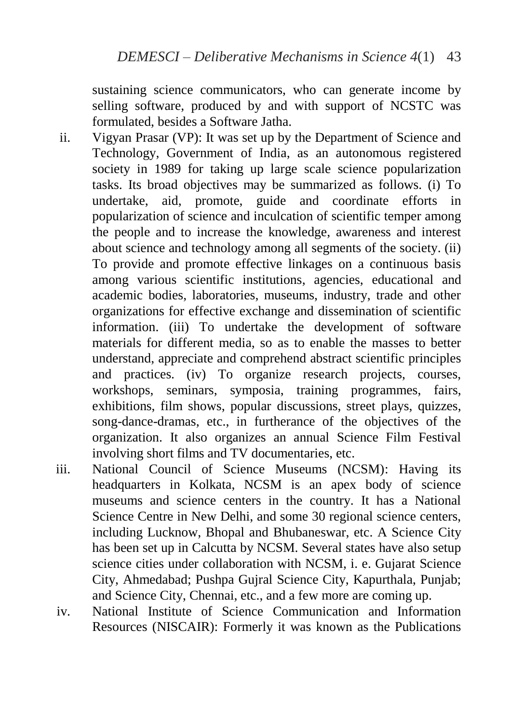sustaining science communicators, who can generate income by selling software, produced by and with support of NCSTC was formulated, besides a Software Jatha.

- ii. Vigyan Prasar (VP): It was set up by the Department of Science and Technology, Government of India, as an autonomous registered society in 1989 for taking up large scale science popularization tasks. Its broad objectives may be summarized as follows. (i) To undertake, aid, promote, guide and coordinate efforts in popularization of science and inculcation of scientific temper among the people and to increase the knowledge, awareness and interest about science and technology among all segments of the society. (ii) To provide and promote effective linkages on a continuous basis among various scientific institutions, agencies, educational and academic bodies, laboratories, museums, industry, trade and other organizations for effective exchange and dissemination of scientific information. (iii) To undertake the development of software materials for different media, so as to enable the masses to better understand, appreciate and comprehend abstract scientific principles and practices. (iv) To organize research projects, courses, workshops, seminars, symposia, training programmes, fairs, exhibitions, film shows, popular discussions, street plays, quizzes, song-dance-dramas, etc., in furtherance of the objectives of the organization. It also organizes an annual Science Film Festival involving short films and TV documentaries, etc.
- iii. National Council of Science Museums (NCSM): Having its headquarters in Kolkata, NCSM is an apex body of science museums and science centers in the country. It has a National Science Centre in New Delhi, and some 30 regional science centers, including Lucknow, Bhopal and Bhubaneswar, etc. A Science City has been set up in Calcutta by NCSM. Several states have also setup science cities under collaboration with NCSM, i. e. Gujarat Science City, Ahmedabad; Pushpa Gujral Science City, Kapurthala, Punjab; and Science City, Chennai, etc., and a few more are coming up.
- iv. National Institute of Science Communication and Information Resources (NISCAIR): Formerly it was known as the Publications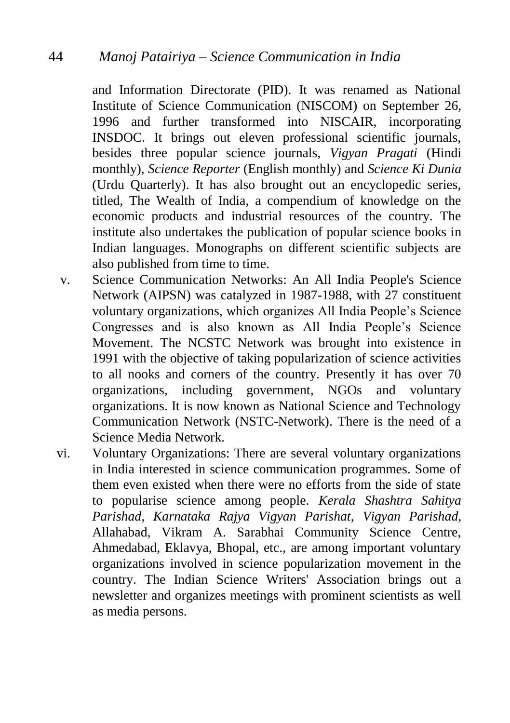and Information Directorate (PID). It was renamed as National Institute of Science Communication (NISCOM) on September 26, 1996 and further transformed into NISCAIR, incorporating INSDOC. It brings out eleven professional scientific journals, besides three popular science journals, *Vigyan Pragati* (Hindi monthly), *Science Reporter* (English monthly) and *Science Ki Dunia* (Urdu Quarterly). It has also brought out an encyclopedic series, titled, The Wealth of India, a compendium of knowledge on the economic products and industrial resources of the country. The institute also undertakes the publication of popular science books in Indian languages. Monographs on different scientific subjects are also published from time to time.

- v. Science Communication Networks: An All India People's Science Network (AIPSN) was catalyzed in 1987-1988, with 27 constituent voluntary organizations, which organizes All India People's Science Congresses and is also known as All India People's Science Movement. The NCSTC Network was brought into existence in 1991 with the objective of taking popularization of science activities to all nooks and corners of the country. Presently it has over 70 organizations, including government, NGOs and voluntary organizations. It is now known as National Science and Technology Communication Network (NSTC-Network). There is the need of a Science Media Network.
- vi. Voluntary Organizations: There are several voluntary organizations in India interested in science communication programmes. Some of them even existed when there were no efforts from the side of state to popularise science among people. *Kerala Shashtra Sahitya Parishad, Karnataka Rajya Vigyan Parishat*, *Vigyan Parishad*, Allahabad, Vikram A. Sarabhai Community Science Centre, Ahmedabad, Eklavya, Bhopal, etc., are among important voluntary organizations involved in science popularization movement in the country. The Indian Science Writers' Association brings out a newsletter and organizes meetings with prominent scientists as well as media persons.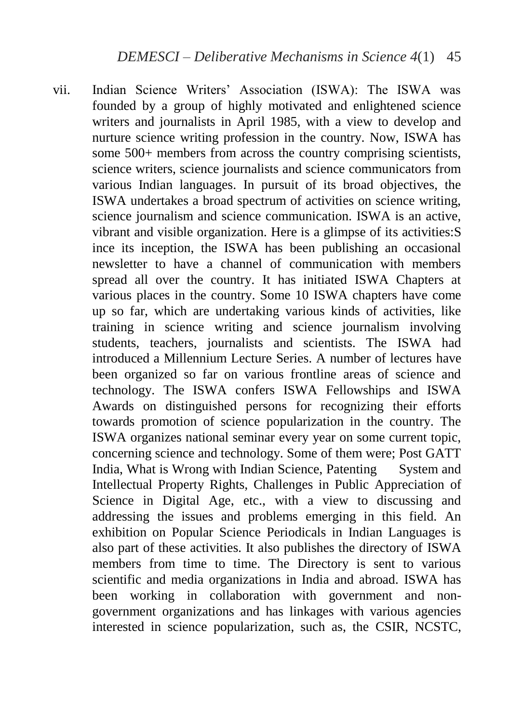vii. Indian Science Writers' Association (ISWA): The ISWA was founded by a group of highly motivated and enlightened science writers and journalists in April 1985, with a view to develop and nurture science writing profession in the country. Now, ISWA has some 500+ members from across the country comprising scientists, science writers, science journalists and science communicators from various Indian languages. In pursuit of its broad objectives, the ISWA undertakes a broad spectrum of activities on science writing, science journalism and science communication. ISWA is an active, vibrant and visible organization. Here is a glimpse of its activities:S ince its inception, the ISWA has been publishing an occasional newsletter to have a channel of communication with members spread all over the country. It has initiated ISWA Chapters at various places in the country. Some 10 ISWA chapters have come up so far, which are undertaking various kinds of activities, like training in science writing and science journalism involving students, teachers, journalists and scientists. The ISWA had introduced a Millennium Lecture Series. A number of lectures have been organized so far on various frontline areas of science and technology. The ISWA confers ISWA Fellowships and ISWA Awards on distinguished persons for recognizing their efforts towards promotion of science popularization in the country. The ISWA organizes national seminar every year on some current topic, concerning science and technology. Some of them were; Post GATT India, What is Wrong with Indian Science, Patenting System and Intellectual Property Rights, Challenges in Public Appreciation of Science in Digital Age, etc., with a view to discussing and addressing the issues and problems emerging in this field. An exhibition on Popular Science Periodicals in Indian Languages is also part of these activities. It also publishes the directory of ISWA members from time to time. The Directory is sent to various scientific and media organizations in India and abroad. ISWA has been working in collaboration with government and nongovernment organizations and has linkages with various agencies interested in science popularization, such as, the CSIR, NCSTC,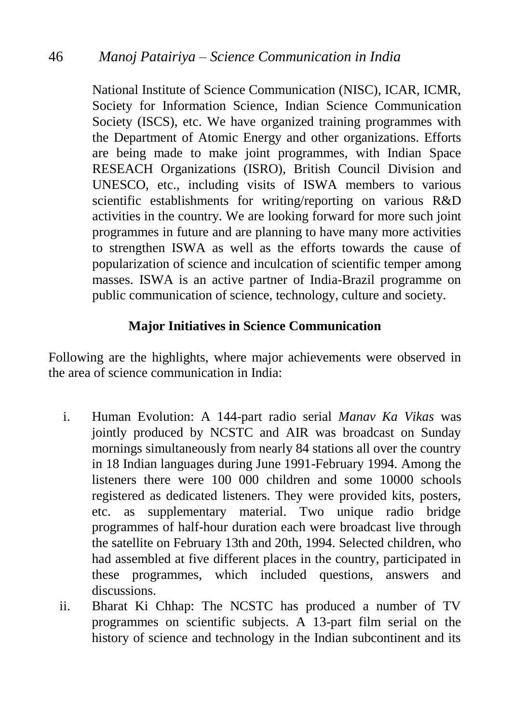National Institute of Science Communication (NISC), ICAR, ICMR, Society for Information Science, Indian Science Communication Society (ISCS), etc. We have organized training programmes with the Department of Atomic Energy and other organizations. Efforts are being made to make joint programmes, with Indian Space RESEACH Organizations (ISRO), British Council Division and UNESCO, etc., including visits of ISWA members to various scientific establishments for writing/reporting on various R&D activities in the country. We are looking forward for more such joint programmes in future and are planning to have many more activities to strengthen ISWA as well as the efforts towards the cause of popularization of science and inculcation of scientific temper among masses. ISWA is an active partner of India-Brazil programme on public communication of science, technology, culture and society.

# **Major Initiatives in Science Communication**

Following are the highlights, where major achievements were observed in the area of science communication in India:

- i. Human Evolution: A 144-part radio serial *Manav Ka Vikas* was jointly produced by NCSTC and AIR was broadcast on Sunday mornings simultaneously from nearly 84 stations all over the country in 18 Indian languages during June 1991-February 1994. Among the listeners there were 100 000 children and some 10000 schools registered as dedicated listeners. They were provided kits, posters, etc. as supplementary material. Two unique radio bridge programmes of half-hour duration each were broadcast live through the satellite on February 13th and 20th, 1994. Selected children, who had assembled at five different places in the country, participated in these programmes, which included questions, answers and discussions.
- ii. Bharat Ki Chhap: The NCSTC has produced a number of TV programmes on scientific subjects. A 13-part film serial on the history of science and technology in the Indian subcontinent and its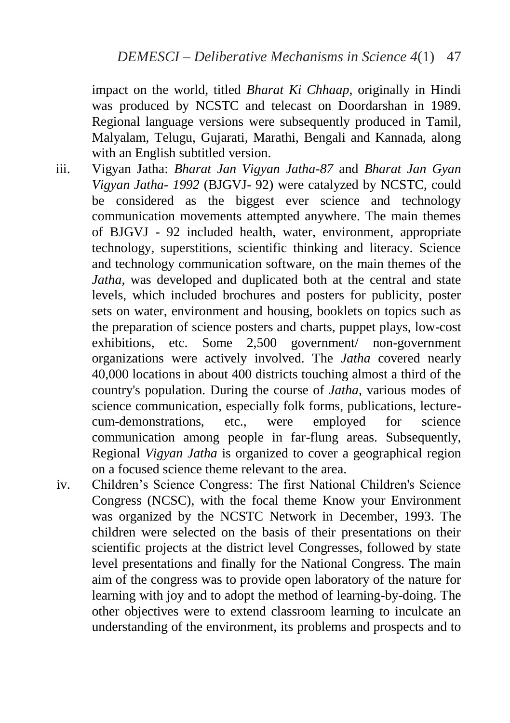impact on the world, titled *Bharat Ki Chhaap*, originally in Hindi was produced by NCSTC and telecast on Doordarshan in 1989. Regional language versions were subsequently produced in Tamil, Malyalam, Telugu, Gujarati, Marathi, Bengali and Kannada, along with an English subtitled version.

- iii. Vigyan Jatha: *Bharat Jan Vigyan Jatha-87* and *Bharat Jan Gyan Vigyan Jatha- 1992* (BJGVJ- 92) were catalyzed by NCSTC, could be considered as the biggest ever science and technology communication movements attempted anywhere. The main themes of BJGVJ - 92 included health, water, environment, appropriate technology, superstitions, scientific thinking and literacy. Science and technology communication software, on the main themes of the *Jatha*, was developed and duplicated both at the central and state levels, which included brochures and posters for publicity, poster sets on water, environment and housing, booklets on topics such as the preparation of science posters and charts, puppet plays, low-cost exhibitions, etc. Some 2,500 government/ non-government organizations were actively involved. The *Jatha* covered nearly 40,000 locations in about 400 districts touching almost a third of the country's population. During the course of *Jatha*, various modes of science communication, especially folk forms, publications, lecturecum-demonstrations, etc., were employed for science communication among people in far-flung areas. Subsequently, Regional *Vigyan Jatha* is organized to cover a geographical region on a focused science theme relevant to the area.
- iv. Children's Science Congress: The first National Children's Science Congress (NCSC), with the focal theme Know your Environment was organized by the NCSTC Network in December, 1993. The children were selected on the basis of their presentations on their scientific projects at the district level Congresses, followed by state level presentations and finally for the National Congress. The main aim of the congress was to provide open laboratory of the nature for learning with joy and to adopt the method of learning-by-doing. The other objectives were to extend classroom learning to inculcate an understanding of the environment, its problems and prospects and to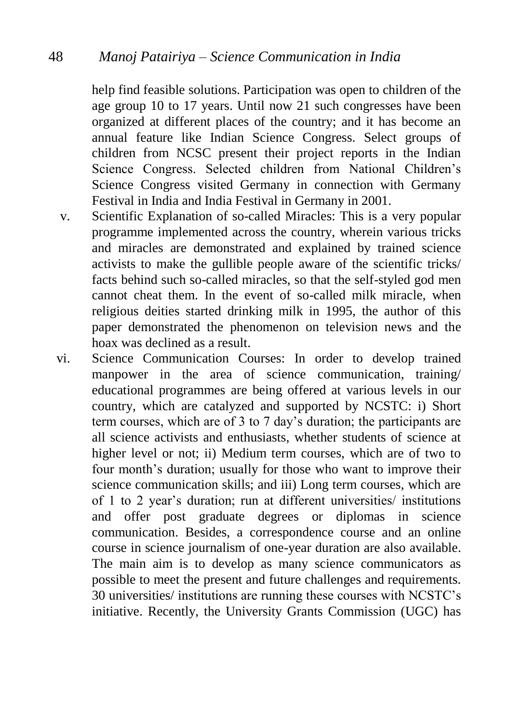help find feasible solutions. Participation was open to children of the age group 10 to 17 years. Until now 21 such congresses have been organized at different places of the country; and it has become an annual feature like Indian Science Congress. Select groups of children from NCSC present their project reports in the Indian Science Congress. Selected children from National Children's Science Congress visited Germany in connection with Germany Festival in India and India Festival in Germany in 2001.

- v. Scientific Explanation of so-called Miracles: This is a very popular programme implemented across the country, wherein various tricks and miracles are demonstrated and explained by trained science activists to make the gullible people aware of the scientific tricks/ facts behind such so-called miracles, so that the self-styled god men cannot cheat them. In the event of so-called milk miracle, when religious deities started drinking milk in 1995, the author of this paper demonstrated the phenomenon on television news and the hoax was declined as a result.
- vi. Science Communication Courses: In order to develop trained manpower in the area of science communication, training/ educational programmes are being offered at various levels in our country, which are catalyzed and supported by NCSTC: i) Short term courses, which are of 3 to 7 day's duration; the participants are all science activists and enthusiasts, whether students of science at higher level or not; ii) Medium term courses, which are of two to four month's duration; usually for those who want to improve their science communication skills; and iii) Long term courses, which are of 1 to 2 year's duration; run at different universities/ institutions and offer post graduate degrees or diplomas in science communication. Besides, a correspondence course and an online course in science journalism of one-year duration are also available. The main aim is to develop as many science communicators as possible to meet the present and future challenges and requirements. 30 universities/ institutions are running these courses with NCSTC's initiative. Recently, the University Grants Commission (UGC) has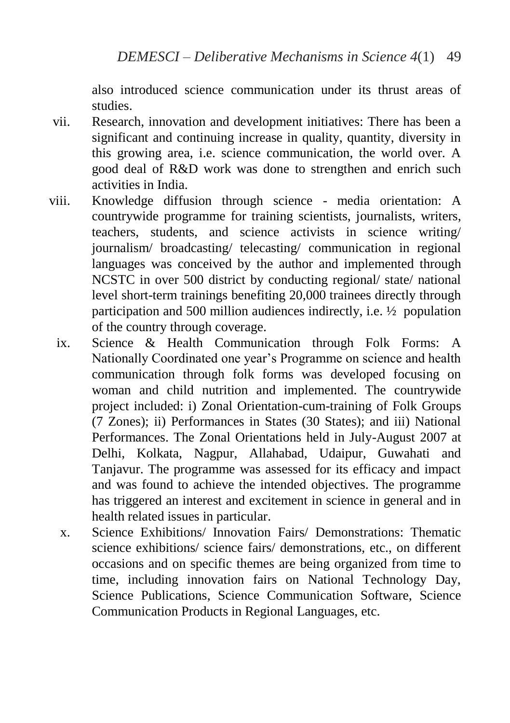also introduced science communication under its thrust areas of studies.

- vii. Research, innovation and development initiatives: There has been a significant and continuing increase in quality, quantity, diversity in this growing area, i.e. science communication, the world over. A good deal of R&D work was done to strengthen and enrich such activities in India.
- viii. Knowledge diffusion through science media orientation: A countrywide programme for training scientists, journalists, writers, teachers, students, and science activists in science writing/ journalism/ broadcasting/ telecasting/ communication in regional languages was conceived by the author and implemented through NCSTC in over 500 district by conducting regional/ state/ national level short-term trainings benefiting 20,000 trainees directly through participation and 500 million audiences indirectly, i.e. ½ population of the country through coverage.
	- ix. Science & Health Communication through Folk Forms: A Nationally Coordinated one year's Programme on science and health communication through folk forms was developed focusing on woman and child nutrition and implemented. The countrywide project included: i) Zonal Orientation-cum-training of Folk Groups (7 Zones); ii) Performances in States (30 States); and iii) National Performances. The Zonal Orientations held in July-August 2007 at Delhi, Kolkata, Nagpur, Allahabad, Udaipur, Guwahati and Tanjavur. The programme was assessed for its efficacy and impact and was found to achieve the intended objectives. The programme has triggered an interest and excitement in science in general and in health related issues in particular.
	- x. Science Exhibitions/ Innovation Fairs/ Demonstrations: Thematic science exhibitions/ science fairs/ demonstrations, etc., on different occasions and on specific themes are being organized from time to time, including innovation fairs on National Technology Day, Science Publications, Science Communication Software, Science Communication Products in Regional Languages, etc.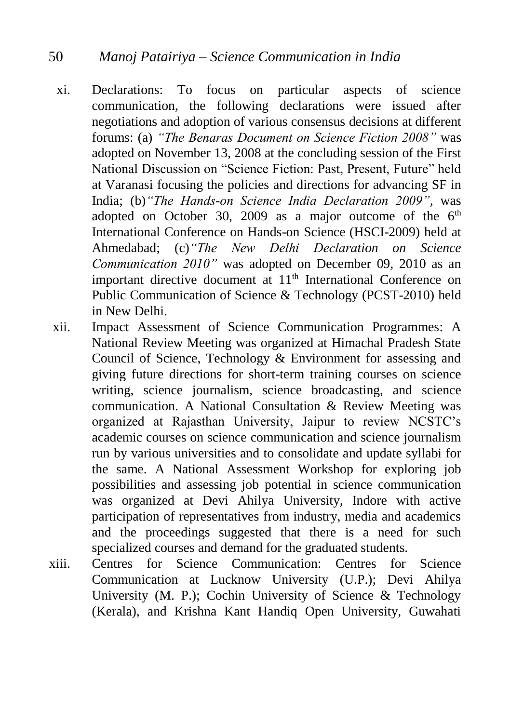- xi. Declarations: To focus on particular aspects of science communication, the following declarations were issued after negotiations and adoption of various consensus decisions at different forums: (a) *"The Benaras Document on Science Fiction 2008"* was adopted on November 13, 2008 at the concluding session of the First National Discussion on "Science Fiction: Past, Present, Future" held at Varanasi focusing the policies and directions for advancing SF in India; (b)*"The Hands-on Science India Declaration 2009"*, was adopted on October 30, 2009 as a major outcome of the  $6<sup>th</sup>$ International Conference on Hands-on Science (HSCI-2009) held at Ahmedabad; (c)*"The New Delhi Declaration on Science Communication 2010"* was adopted on December 09, 2010 as an important directive document at 11<sup>th</sup> International Conference on Public Communication of Science & Technology (PCST-2010) held in New Delhi.
- xii. Impact Assessment of Science Communication Programmes: A National Review Meeting was organized at Himachal Pradesh State Council of Science, Technology & Environment for assessing and giving future directions for short-term training courses on science writing, science journalism, science broadcasting, and science communication. A National Consultation & Review Meeting was organized at Rajasthan University, Jaipur to review NCSTC's academic courses on science communication and science journalism run by various universities and to consolidate and update syllabi for the same. A National Assessment Workshop for exploring job possibilities and assessing job potential in science communication was organized at Devi Ahilya University, Indore with active participation of representatives from industry, media and academics and the proceedings suggested that there is a need for such specialized courses and demand for the graduated students.
- xiii. Centres for Science Communication: Centres for Science Communication at Lucknow University (U.P.); Devi Ahilya University (M. P.); Cochin University of Science & Technology (Kerala), and Krishna Kant Handiq Open University, Guwahati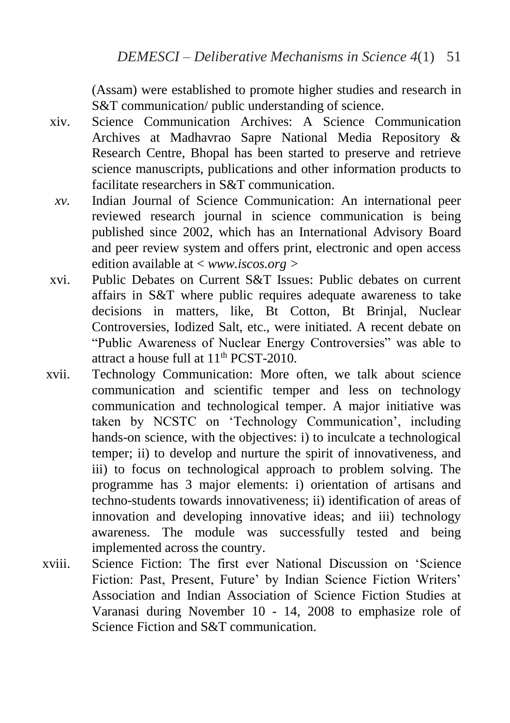(Assam) were established to promote higher studies and research in S&T communication/ public understanding of science.

- xiv. Science Communication Archives: A Science Communication Archives at Madhavrao Sapre National Media Repository & Research Centre, Bhopal has been started to preserve and retrieve science manuscripts, publications and other information products to facilitate researchers in S&T communication.
- *xv.* Indian Journal of Science Communication: An international peer reviewed research journal in science communication is being published since 2002, which has an International Advisory Board and peer review system and offers print, electronic and open access edition available at < *www.iscos.org >*
- xvi. Public Debates on Current S&T Issues: Public debates on current affairs in S&T where public requires adequate awareness to take decisions in matters, like, Bt Cotton, Bt Brinjal, Nuclear Controversies, Iodized Salt, etc., were initiated. A recent debate on "Public Awareness of Nuclear Energy Controversies" was able to attract a house full at  $11<sup>th</sup> PCST-2010$ .
- xvii. Technology Communication: More often, we talk about science communication and scientific temper and less on technology communication and technological temper. A major initiative was taken by NCSTC on 'Technology Communication', including hands-on science, with the objectives: i) to inculcate a technological temper; ii) to develop and nurture the spirit of innovativeness, and iii) to focus on technological approach to problem solving. The programme has 3 major elements: i) orientation of artisans and techno-students towards innovativeness; ii) identification of areas of innovation and developing innovative ideas; and iii) technology awareness. The module was successfully tested and being implemented across the country.
- xviii. Science Fiction: The first ever National Discussion on 'Science Fiction: Past, Present, Future' by Indian Science Fiction Writers' Association and Indian Association of Science Fiction Studies at Varanasi during November 10 - 14, 2008 to emphasize role of Science Fiction and S&T communication.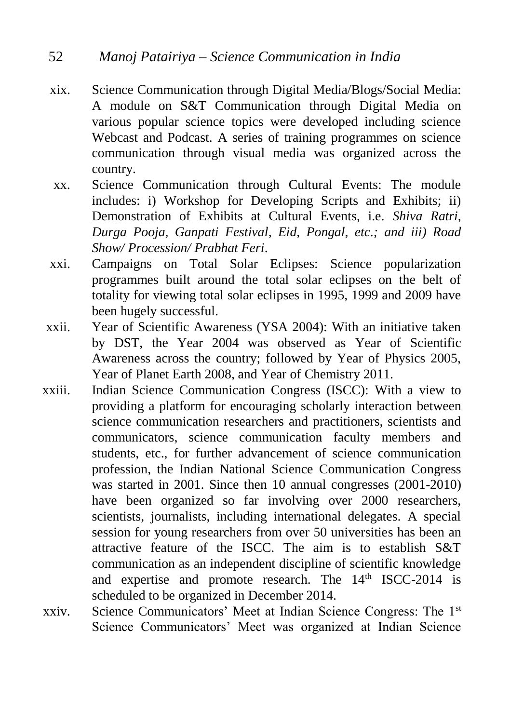- xix. Science Communication through Digital Media/Blogs/Social Media: A module on S&T Communication through Digital Media on various popular science topics were developed including science Webcast and Podcast. A series of training programmes on science communication through visual media was organized across the country.
- xx. Science Communication through Cultural Events: The module includes: i) Workshop for Developing Scripts and Exhibits; ii) Demonstration of Exhibits at Cultural Events, i.e. *Shiva Ratri, Durga Pooja, Ganpati Festival, Eid, Pongal, etc.; and iii) Road Show/ Procession/ Prabhat Feri*.
- xxi. Campaigns on Total Solar Eclipses: Science popularization programmes built around the total solar eclipses on the belt of totality for viewing total solar eclipses in 1995, 1999 and 2009 have been hugely successful.
- xxii. Year of Scientific Awareness (YSA 2004): With an initiative taken by DST, the Year 2004 was observed as Year of Scientific Awareness across the country; followed by Year of Physics 2005, Year of Planet Earth 2008, and Year of Chemistry 2011.
- xxiii. Indian Science Communication Congress (ISCC): With a view to providing a platform for encouraging scholarly interaction between science communication researchers and practitioners, scientists and communicators, science communication faculty members and students, etc., for further advancement of science communication profession, the Indian National Science Communication Congress was started in 2001. Since then 10 annual congresses (2001-2010) have been organized so far involving over 2000 researchers, scientists, journalists, including international delegates. A special session for young researchers from over 50 universities has been an attractive feature of the ISCC. The aim is to establish S&T communication as an independent discipline of scientific knowledge and expertise and promote research. The  $14<sup>th</sup>$  ISCC-2014 is scheduled to be organized in December 2014.
- xxiv. Science Communicators' Meet at Indian Science Congress: The 1st Science Communicators' Meet was organized at Indian Science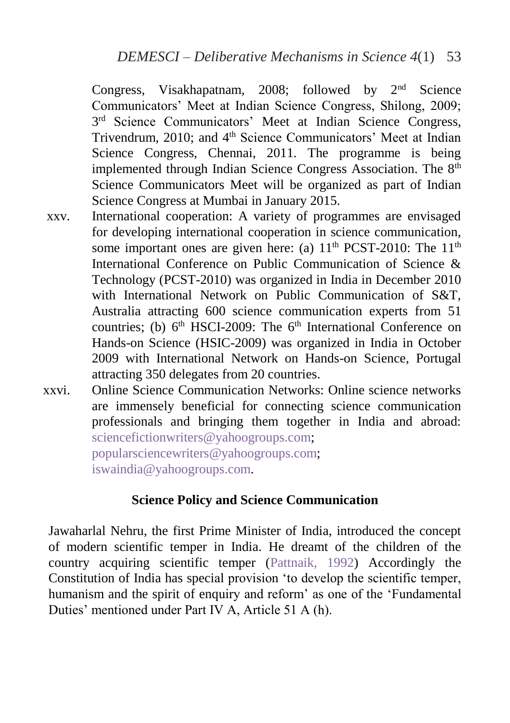Congress, Visakhapatnam, 2008; followed by 2nd Science Communicators' Meet at Indian Science Congress, Shilong, 2009; 3<sup>rd</sup> Science Communicators' Meet at Indian Science Congress, Trivendrum, 2010; and 4<sup>th</sup> Science Communicators' Meet at Indian Science Congress, Chennai, 2011. The programme is being implemented through Indian Science Congress Association. The 8<sup>th</sup> Science Communicators Meet will be organized as part of Indian Science Congress at Mumbai in January 2015.

- xxv. International cooperation: A variety of programmes are envisaged for developing international cooperation in science communication, some important ones are given here: (a)  $11<sup>th</sup> PCST-2010$ : The  $11<sup>th</sup>$ International Conference on Public Communication of Science & Technology (PCST-2010) was organized in India in December 2010 with International Network on Public Communication of S&T, Australia attracting 600 science communication experts from 51 countries; (b)  $6<sup>th</sup>$  HSCI-2009: The  $6<sup>th</sup>$  International Conference on Hands-on Science (HSIC-2009) was organized in India in October 2009 with International Network on Hands-on Science, Portugal attracting 350 delegates from 20 countries.
- xxvi. Online Science Communication Networks: Online science networks are immensely beneficial for connecting science communication professionals and bringing them together in India and abroad: [sciencefictionwriters@yahoogroups.com;](mailto:sciencefictionwriters@yahoogroups.com) [popularsciencewriters@yahoogroups.com;](mailto:popularsciencewriters@yahoogroups.com) [iswaindia@yahoogroups.com.](mailto:iswaindia@yahoogroups.com)

# **Science Policy and Science Communication**

Jawaharlal Nehru, the first Prime Minister of India, introduced the concept of modern scientific temper in India. He dreamt of the children of the country acquiring scientific temper [\(Pattnaik, 1992\)](#page-40-0) Accordingly the Constitution of India has special provision 'to develop the scientific temper, humanism and the spirit of enquiry and reform' as one of the 'Fundamental Duties' mentioned under Part IV A, Article 51 A (h).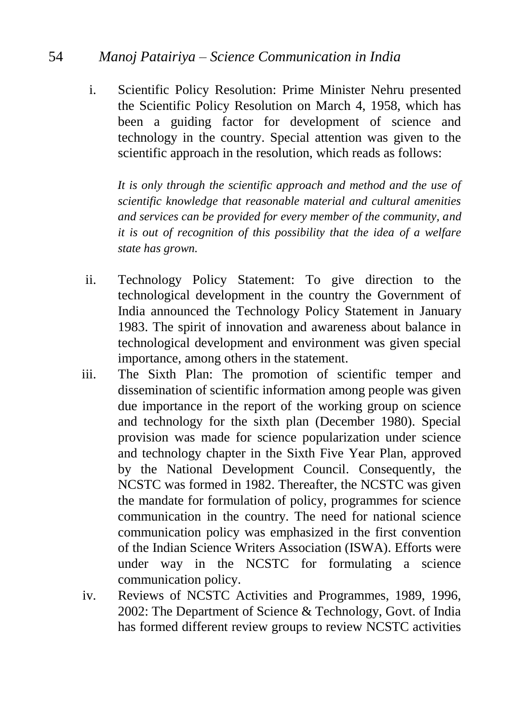# 54 *Manoj Patairiya – Science Communication in India*

i. Scientific Policy Resolution: Prime Minister Nehru presented the Scientific Policy Resolution on March 4, 1958, which has been a guiding factor for development of science and technology in the country. Special attention was given to the scientific approach in the resolution, which reads as follows:

 *It is only through the scientific approach and method and the use of scientific knowledge that reasonable material and cultural amenities and services can be provided for every member of the community, and it is out of recognition of this possibility that the idea of a welfare state has grown.*

- ii. Technology Policy Statement: To give direction to the technological development in the country the Government of India announced the Technology Policy Statement in January 1983. The spirit of innovation and awareness about balance in technological development and environment was given special importance, among others in the statement.
- iii. The Sixth Plan: The promotion of scientific temper and dissemination of scientific information among people was given due importance in the report of the working group on science and technology for the sixth plan (December 1980). Special provision was made for science popularization under science and technology chapter in the Sixth Five Year Plan, approved by the National Development Council. Consequently, the NCSTC was formed in 1982. Thereafter, the NCSTC was given the mandate for formulation of policy, programmes for science communication in the country. The need for national science communication policy was emphasized in the first convention of the Indian Science Writers Association (ISWA). Efforts were under way in the NCSTC for formulating a science communication policy.
- iv. Reviews of NCSTC Activities and Programmes, 1989, 1996, 2002: The Department of Science & Technology, Govt. of India has formed different review groups to review NCSTC activities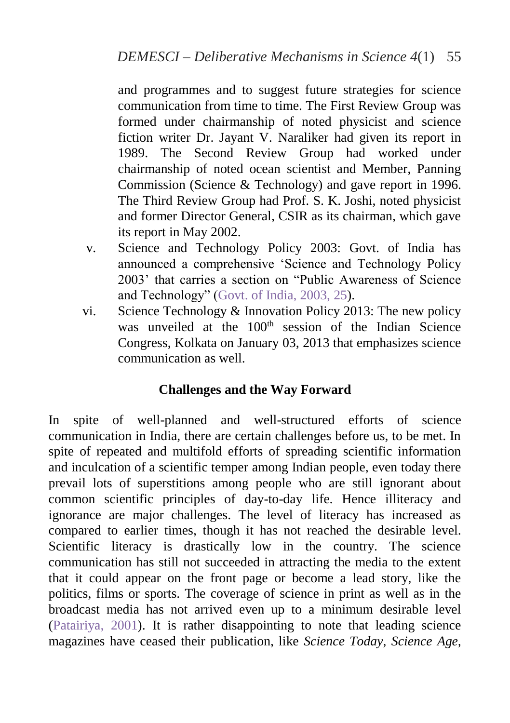and programmes and to suggest future strategies for science communication from time to time. The First Review Group was formed under chairmanship of noted physicist and science fiction writer Dr. Jayant V. Naraliker had given its report in 1989. The Second Review Group had worked under chairmanship of noted ocean scientist and Member, Panning Commission (Science & Technology) and gave report in 1996. The Third Review Group had Prof. S. K. Joshi, noted physicist and former Director General, CSIR as its chairman, which gave its report in May 2002.

- v. Science and Technology Policy 2003: Govt. of India has announced a comprehensive 'Science and Technology Policy 2003' that carries a section on "Public Awareness of Science and Technology" [\(Govt. of India, 2003, 25\)](#page-40-0).
- vi. Science Technology & Innovation Policy 2013: The new policy was unveiled at the  $100<sup>th</sup>$  session of the Indian Science Congress, Kolkata on January 03, 2013 that emphasizes science communication as well.

# **Challenges and the Way Forward**

In spite of well-planned and well-structured efforts of science communication in India, there are certain challenges before us, to be met. In spite of repeated and multifold efforts of spreading scientific information and inculcation of a scientific temper among Indian people, even today there prevail lots of superstitions among people who are still ignorant about common scientific principles of day-to-day life. Hence illiteracy and ignorance are major challenges. The level of literacy has increased as compared to earlier times, though it has not reached the desirable level. Scientific literacy is drastically low in the country. The science communication has still not succeeded in attracting the media to the extent that it could appear on the front page or become a lead story, like the politics, films or sports. The coverage of science in print as well as in the broadcast media has not arrived even up to a minimum desirable level [\(Patairiya, 2001\)](#page-40-0). It is rather disappointing to note that leading science magazines have ceased their publication, like *Science Today, Science Age,*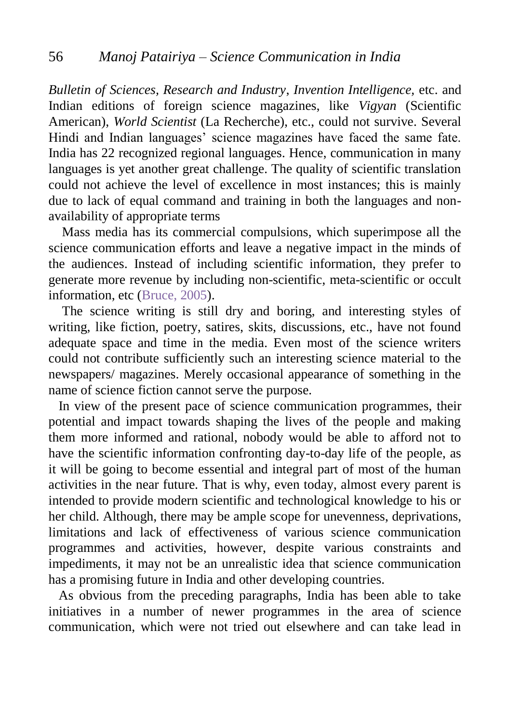*Bulletin of Sciences, Research and Industry*, *Invention Intelligence,* etc. and Indian editions of foreign science magazines, like *Vigyan* (Scientific American), *World Scientist* (La Recherche), etc., could not survive. Several Hindi and Indian languages' science magazines have faced the same fate. India has 22 recognized regional languages. Hence, communication in many languages is yet another great challenge. The quality of scientific translation could not achieve the level of excellence in most instances; this is mainly due to lack of equal command and training in both the languages and nonavailability of appropriate terms

 Mass media has its commercial compulsions, which superimpose all the science communication efforts and leave a negative impact in the minds of the audiences. Instead of including scientific information, they prefer to generate more revenue by including non-scientific, meta-scientific or occult information, etc [\(Bruce, 2005\)](#page-40-0).

 The science writing is still dry and boring, and interesting styles of writing, like fiction, poetry, satires, skits, discussions, etc., have not found adequate space and time in the media. Even most of the science writers could not contribute sufficiently such an interesting science material to the newspapers/ magazines. Merely occasional appearance of something in the name of science fiction cannot serve the purpose.

 In view of the present pace of science communication programmes, their potential and impact towards shaping the lives of the people and making them more informed and rational, nobody would be able to afford not to have the scientific information confronting day-to-day life of the people, as it will be going to become essential and integral part of most of the human activities in the near future. That is why, even today, almost every parent is intended to provide modern scientific and technological knowledge to his or her child. Although, there may be ample scope for unevenness, deprivations, limitations and lack of effectiveness of various science communication programmes and activities, however, despite various constraints and impediments, it may not be an unrealistic idea that science communication has a promising future in India and other developing countries.

As obvious from the preceding paragraphs, India has been able to take initiatives in a number of newer programmes in the area of science communication, which were not tried out elsewhere and can take lead in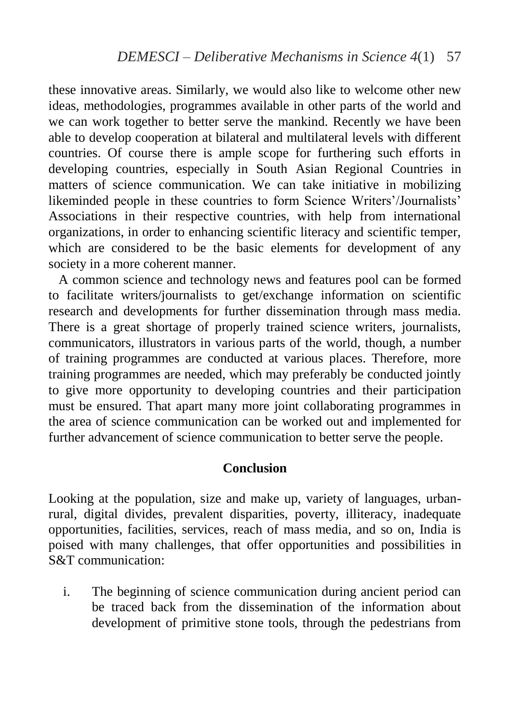these innovative areas. Similarly, we would also like to welcome other new ideas, methodologies, programmes available in other parts of the world and we can work together to better serve the mankind. Recently we have been able to develop cooperation at bilateral and multilateral levels with different countries. Of course there is ample scope for furthering such efforts in developing countries, especially in South Asian Regional Countries in matters of science communication. We can take initiative in mobilizing likeminded people in these countries to form Science Writers'/Journalists' Associations in their respective countries, with help from international organizations, in order to enhancing scientific literacy and scientific temper, which are considered to be the basic elements for development of any society in a more coherent manner.

 A common science and technology news and features pool can be formed to facilitate writers/journalists to get/exchange information on scientific research and developments for further dissemination through mass media. There is a great shortage of properly trained science writers, journalists, communicators, illustrators in various parts of the world, though, a number of training programmes are conducted at various places. Therefore, more training programmes are needed, which may preferably be conducted jointly to give more opportunity to developing countries and their participation must be ensured. That apart many more joint collaborating programmes in the area of science communication can be worked out and implemented for further advancement of science communication to better serve the people.

## **Conclusion**

Looking at the population, size and make up, variety of languages, urbanrural, digital divides, prevalent disparities, poverty, illiteracy, inadequate opportunities, facilities, services, reach of mass media, and so on, India is poised with many challenges, that offer opportunities and possibilities in S&T communication:

i. The beginning of science communication during ancient period can be traced back from the dissemination of the information about development of primitive stone tools, through the pedestrians from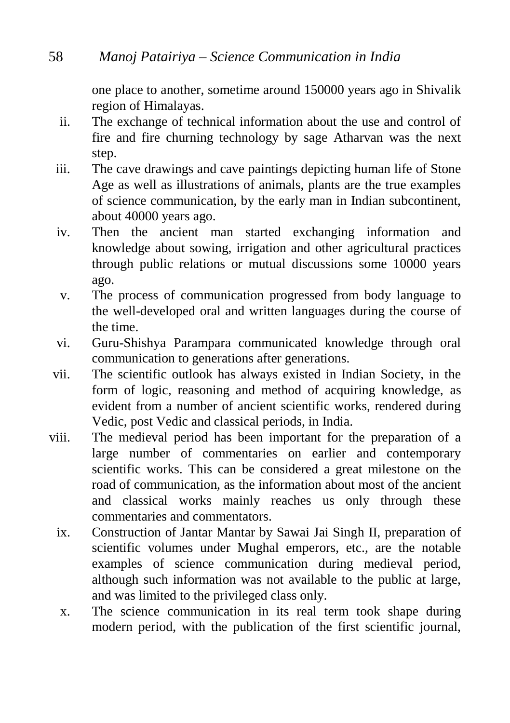one place to another, sometime around 150000 years ago in Shivalik region of Himalayas.

- ii. The exchange of technical information about the use and control of fire and fire churning technology by sage Atharvan was the next step.
- iii. The cave drawings and cave paintings depicting human life of Stone Age as well as illustrations of animals, plants are the true examples of science communication, by the early man in Indian subcontinent, about 40000 years ago.
- iv. Then the ancient man started exchanging information and knowledge about sowing, irrigation and other agricultural practices through public relations or mutual discussions some 10000 years ago.
- v. The process of communication progressed from body language to the well-developed oral and written languages during the course of the time.
- vi. Guru-Shishya Parampara communicated knowledge through oral communication to generations after generations.
- vii. The scientific outlook has always existed in Indian Society, in the form of logic, reasoning and method of acquiring knowledge, as evident from a number of ancient scientific works, rendered during Vedic, post Vedic and classical periods, in India.
- viii. The medieval period has been important for the preparation of a large number of commentaries on earlier and contemporary scientific works. This can be considered a great milestone on the road of communication, as the information about most of the ancient and classical works mainly reaches us only through these commentaries and commentators.
	- ix. Construction of Jantar Mantar by Sawai Jai Singh II, preparation of scientific volumes under Mughal emperors, etc., are the notable examples of science communication during medieval period, although such information was not available to the public at large, and was limited to the privileged class only.
	- x. The science communication in its real term took shape during modern period, with the publication of the first scientific journal,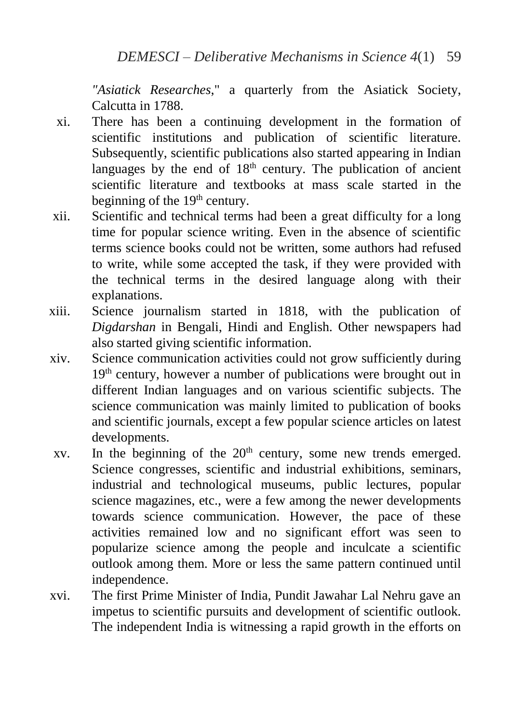*"Asiatick Researches*," a quarterly from the Asiatick Society, Calcutta in 1788.

- xi. There has been a continuing development in the formation of scientific institutions and publication of scientific literature. Subsequently, scientific publications also started appearing in Indian languages by the end of  $18<sup>th</sup>$  century. The publication of ancient scientific literature and textbooks at mass scale started in the beginning of the 19<sup>th</sup> century.
- xii. Scientific and technical terms had been a great difficulty for a long time for popular science writing. Even in the absence of scientific terms science books could not be written, some authors had refused to write, while some accepted the task, if they were provided with the technical terms in the desired language along with their explanations.
- xiii. Science journalism started in 1818, with the publication of *Digdarshan* in Bengali, Hindi and English. Other newspapers had also started giving scientific information.
- xiv. Science communication activities could not grow sufficiently during 19<sup>th</sup> century, however a number of publications were brought out in different Indian languages and on various scientific subjects. The science communication was mainly limited to publication of books and scientific journals, except a few popular science articles on latest developments.
- $xv$ . In the beginning of the  $20<sup>th</sup>$  century, some new trends emerged. Science congresses, scientific and industrial exhibitions, seminars, industrial and technological museums, public lectures, popular science magazines, etc., were a few among the newer developments towards science communication. However, the pace of these activities remained low and no significant effort was seen to popularize science among the people and inculcate a scientific outlook among them. More or less the same pattern continued until independence.
- xvi. The first Prime Minister of India, Pundit Jawahar Lal Nehru gave an impetus to scientific pursuits and development of scientific outlook. The independent India is witnessing a rapid growth in the efforts on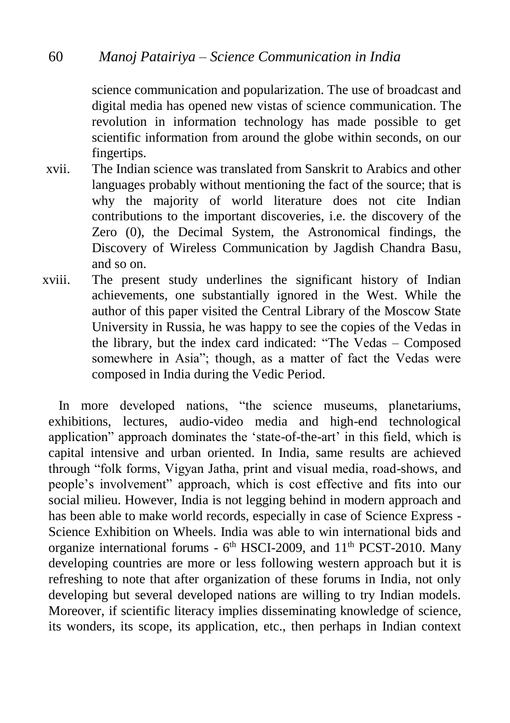science communication and popularization. The use of broadcast and digital media has opened new vistas of science communication. The revolution in information technology has made possible to get scientific information from around the globe within seconds, on our fingertips.

- xvii. The Indian science was translated from Sanskrit to Arabics and other languages probably without mentioning the fact of the source; that is why the majority of world literature does not cite Indian contributions to the important discoveries, i.e. the discovery of the Zero (0), the Decimal System, the Astronomical findings, the Discovery of Wireless Communication by Jagdish Chandra Basu, and so on.
- xviii. The present study underlines the significant history of Indian achievements, one substantially ignored in the West. While the author of this paper visited the Central Library of the Moscow State University in Russia, he was happy to see the copies of the Vedas in the library, but the index card indicated: "The Vedas – Composed somewhere in Asia"; though, as a matter of fact the Vedas were composed in India during the Vedic Period.

 In more developed nations, "the science museums, planetariums, exhibitions, lectures, audio-video media and high-end technological application" approach dominates the 'state-of-the-art' in this field, which is capital intensive and urban oriented. In India, same results are achieved through "folk forms, Vigyan Jatha, print and visual media, road-shows, and people's involvement" approach, which is cost effective and fits into our social milieu. However, India is not legging behind in modern approach and has been able to make world records, especially in case of Science Express - Science Exhibition on Wheels. India was able to win international bids and organize international forums - 6<sup>th</sup> HSCI-2009, and 11<sup>th</sup> PCST-2010. Many developing countries are more or less following western approach but it is refreshing to note that after organization of these forums in India, not only developing but several developed nations are willing to try Indian models. Moreover, if scientific literacy implies disseminating knowledge of science, its wonders, its scope, its application, etc., then perhaps in Indian context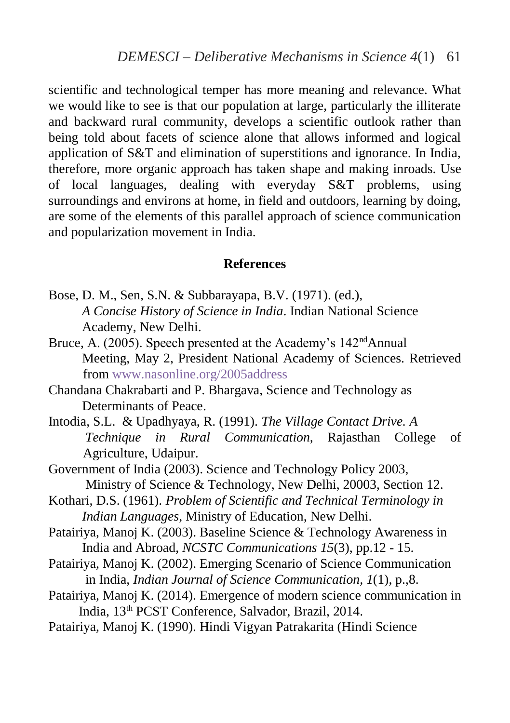scientific and technological temper has more meaning and relevance. What we would like to see is that our population at large, particularly the illiterate and backward rural community, develops a scientific outlook rather than being told about facets of science alone that allows informed and logical application of S&T and elimination of superstitions and ignorance. In India, therefore, more organic approach has taken shape and making inroads. Use of local languages, dealing with everyday S&T problems, using surroundings and environs at home, in field and outdoors, learning by doing, are some of the elements of this parallel approach of science communication and popularization movement in India.

#### <span id="page-40-0"></span>**References**

- Bose, D. M., Sen, S.N. & Subbarayapa, B.V. (1971). (ed.), *A Concise History of Science in India*. Indian National Science Academy, New Delhi.
- Bruce, A. (2005). Speech presented at the Academy's 142<sup>nd</sup>Annual Meeting, May 2, President National Academy of Sciences. Retrieved from [www.nasonline.org/2005address](http://www.nasonline.org/2005address)
- Chandana Chakrabarti and P. Bhargava, Science and Technology as Determinants of Peace.
- Intodia, S.L. & Upadhyaya, R. (1991). *The Village Contact Drive. A Technique in Rural Communication*, Rajasthan College of Agriculture, Udaipur.
- Government of India (2003). Science and Technology Policy 2003, Ministry of Science & Technology, New Delhi, 20003, Section 12.
- Kothari, D.S. (1961). *Problem of Scientific and Technical Terminology in Indian Languages*, Ministry of Education, New Delhi.
- Patairiya, Manoj K. (2003). Baseline Science & Technology Awareness in India and Abroad, *NCSTC Communications 15*(3), pp.12 - 15.
- Patairiya, Manoj K. (2002). Emerging Scenario of Science Communication in India, *Indian Journal of Science Communication, 1*(1), p.,8.
- Patairiya, Manoj K. (2014). Emergence of modern science communication in India, 13th PCST Conference, Salvador, Brazil, 2014.
- Patairiya, Manoj K. (1990). Hindi Vigyan Patrakarita (Hindi Science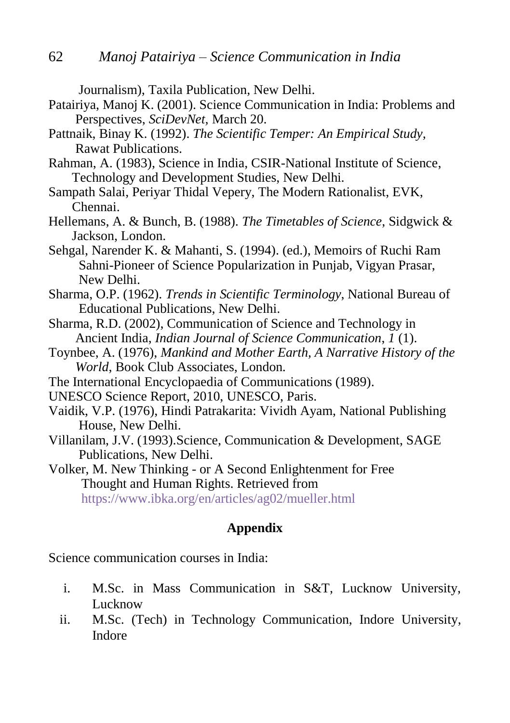Journalism), Taxila Publication, New Delhi.

- Patairiya, Manoj K. (2001). Science Communication in India: Problems and Perspectives, *SciDevNet,* March 20.
- Pattnaik, Binay K. (1992). *The Scientific Temper: An Empirical Study,* Rawat Publications.
- Rahman, A. (1983), Science in India, CSIR-National Institute of Science, Technology and Development Studies, New Delhi.
- Sampath Salai, Periyar Thidal Vepery, The Modern Rationalist, EVK, Chennai.
- Hellemans, A. & Bunch, B. (1988). *The Timetables of Science*, Sidgwick & Jackson, London.
- Sehgal, Narender K. & Mahanti, S. (1994). (ed.), Memoirs of Ruchi Ram Sahni-Pioneer of Science Popularization in Punjab, Vigyan Prasar, New Delhi.
- Sharma, O.P. (1962). *Trends in Scientific Terminology*, National Bureau of Educational Publications, New Delhi.
- Sharma, R.D. (2002), Communication of Science and Technology in Ancient India, *Indian Journal of Science Communication*, *1* (1).
- Toynbee, A. (1976), *Mankind and Mother Earth, A Narrative History of the World*, Book Club Associates, London.
- The International Encyclopaedia of Communications (1989).
- UNESCO Science Report, 2010, UNESCO, Paris.
- Vaidik, V.P. (1976), Hindi Patrakarita: Vividh Ayam, National Publishing House, New Delhi.
- Villanilam, J.V. (1993).Science, Communication & Development, SAGE Publications, New Delhi.
- Volker, M. New Thinking or A Second Enlightenment for Free Thought and Human Rights. Retrieved from <https://www.ibka.org/en/articles/ag02/mueller.html>

## **Appendix**

Science communication courses in India:

- i. M.Sc. in Mass Communication in S&T, Lucknow University, Lucknow
- ii. M.Sc. (Tech) in Technology Communication, Indore University, Indore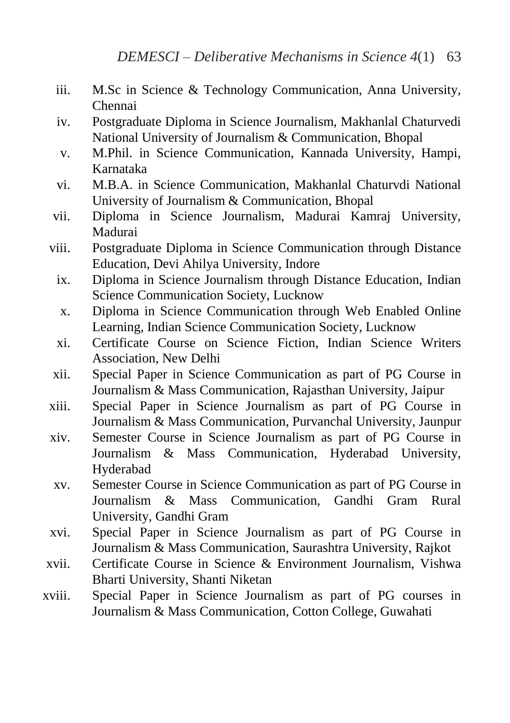- iii. M.Sc in Science & Technology Communication, Anna University, Chennai
- iv. Postgraduate Diploma in Science Journalism, Makhanlal Chaturvedi National University of Journalism & Communication, Bhopal
- v. M.Phil. in Science Communication, Kannada University, Hampi, Karnataka
- vi. M.B.A. in Science Communication, Makhanlal Chaturvdi National University of Journalism & Communication, Bhopal
- vii. Diploma in Science Journalism, Madurai Kamraj University, Madurai
- viii. Postgraduate Diploma in Science Communication through Distance Education, Devi Ahilya University, Indore
	- ix. Diploma in Science Journalism through Distance Education, Indian Science Communication Society, Lucknow
	- x. Diploma in Science Communication through Web Enabled Online Learning, Indian Science Communication Society, Lucknow
	- xi. Certificate Course on Science Fiction, Indian Science Writers Association, New Delhi
- xii. Special Paper in Science Communication as part of PG Course in Journalism & Mass Communication, Rajasthan University, Jaipur
- xiii. Special Paper in Science Journalism as part of PG Course in Journalism & Mass Communication, Purvanchal University, Jaunpur
- xiv. Semester Course in Science Journalism as part of PG Course in Journalism & Mass Communication, Hyderabad University, Hyderabad
- xv. Semester Course in Science Communication as part of PG Course in Journalism & Mass Communication, Gandhi Gram Rural University, Gandhi Gram
- xvi. Special Paper in Science Journalism as part of PG Course in Journalism & Mass Communication, Saurashtra University, Rajkot
- xvii. Certificate Course in Science & Environment Journalism, Vishwa Bharti University, Shanti Niketan
- xviii. Special Paper in Science Journalism as part of PG courses in Journalism & Mass Communication, Cotton College, Guwahati